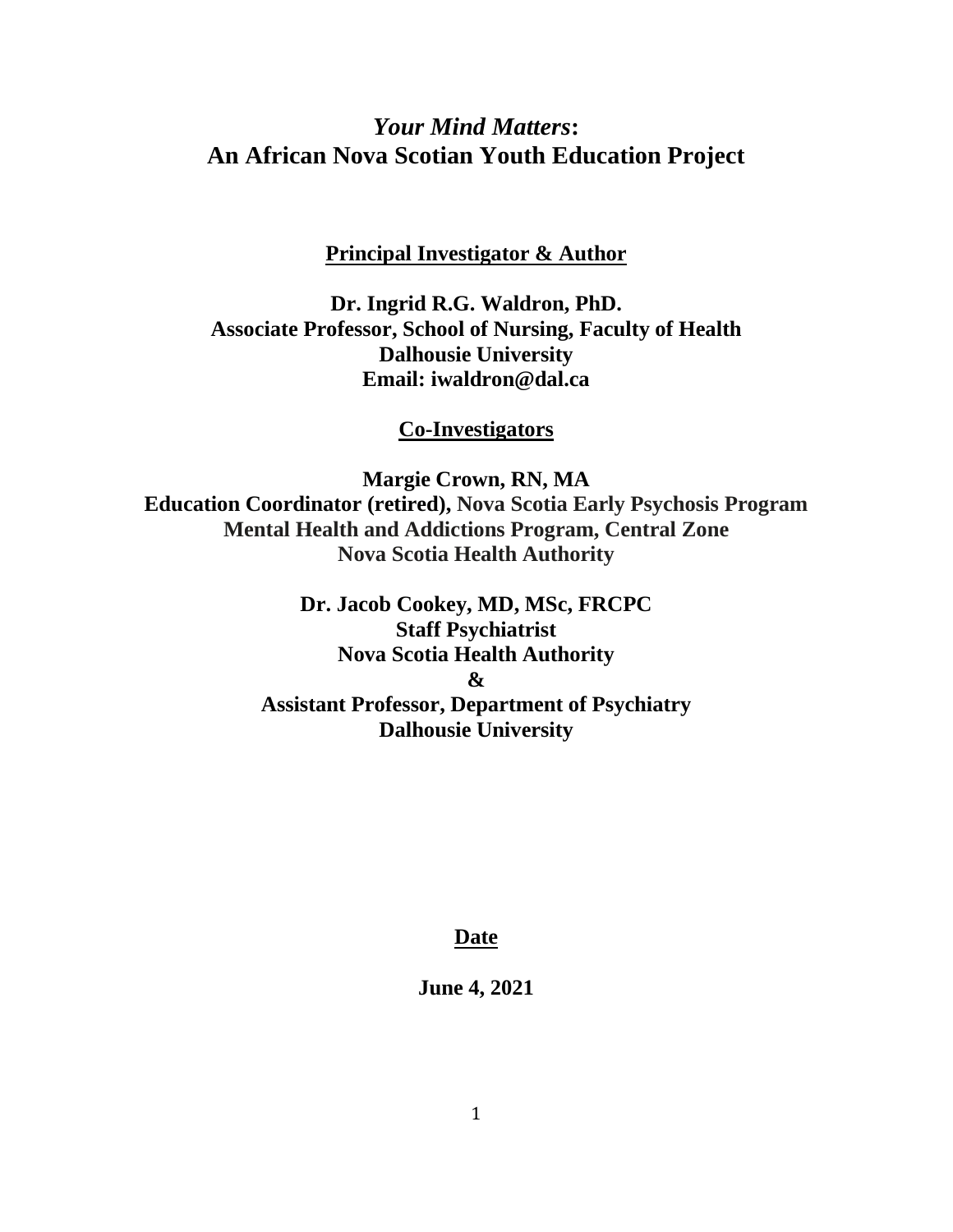# *Your Mind Matters***: An African Nova Scotian Youth Education Project**

**Principal Investigator & Author**

**Dr. Ingrid R.G. Waldron, PhD. Associate Professor, School of Nursing, Faculty of Health Dalhousie University Email: iwaldron@dal.ca**

**Co-Investigators**

**Margie Crown, RN, MA Education Coordinator (retired), Nova Scotia Early Psychosis Program Mental Health and Addictions Program, Central Zone Nova Scotia Health Authority**

> **Dr. Jacob Cookey, MD, MSc, FRCPC Staff Psychiatrist Nova Scotia Health Authority & Assistant Professor, Department of Psychiatry Dalhousie University**

## **Date**

**June 4, 2021**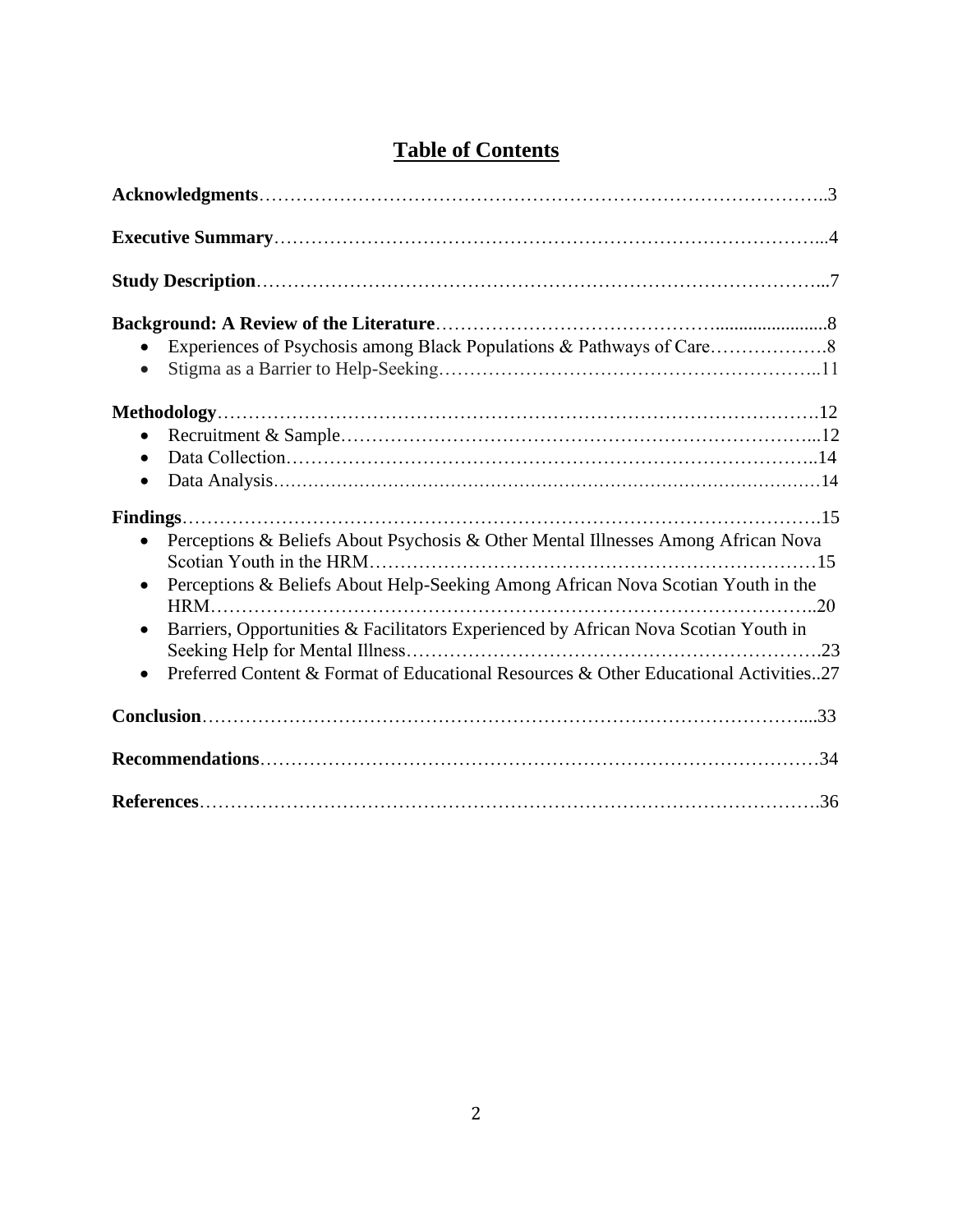| $\bullet$                                                                                                                                                                                                                                                                                                                                                                                   |
|---------------------------------------------------------------------------------------------------------------------------------------------------------------------------------------------------------------------------------------------------------------------------------------------------------------------------------------------------------------------------------------------|
| $\bullet$<br>$\bullet$<br>$\bullet$                                                                                                                                                                                                                                                                                                                                                         |
| Perceptions & Beliefs About Psychosis & Other Mental Illnesses Among African Nova<br>$\bullet$<br>Perceptions & Beliefs About Help-Seeking Among African Nova Scotian Youth in the<br>$\bullet$<br>Barriers, Opportunities & Facilitators Experienced by African Nova Scotian Youth in<br>$\bullet$<br>Preferred Content & Format of Educational Resources & Other Educational Activities27 |
|                                                                                                                                                                                                                                                                                                                                                                                             |
|                                                                                                                                                                                                                                                                                                                                                                                             |
|                                                                                                                                                                                                                                                                                                                                                                                             |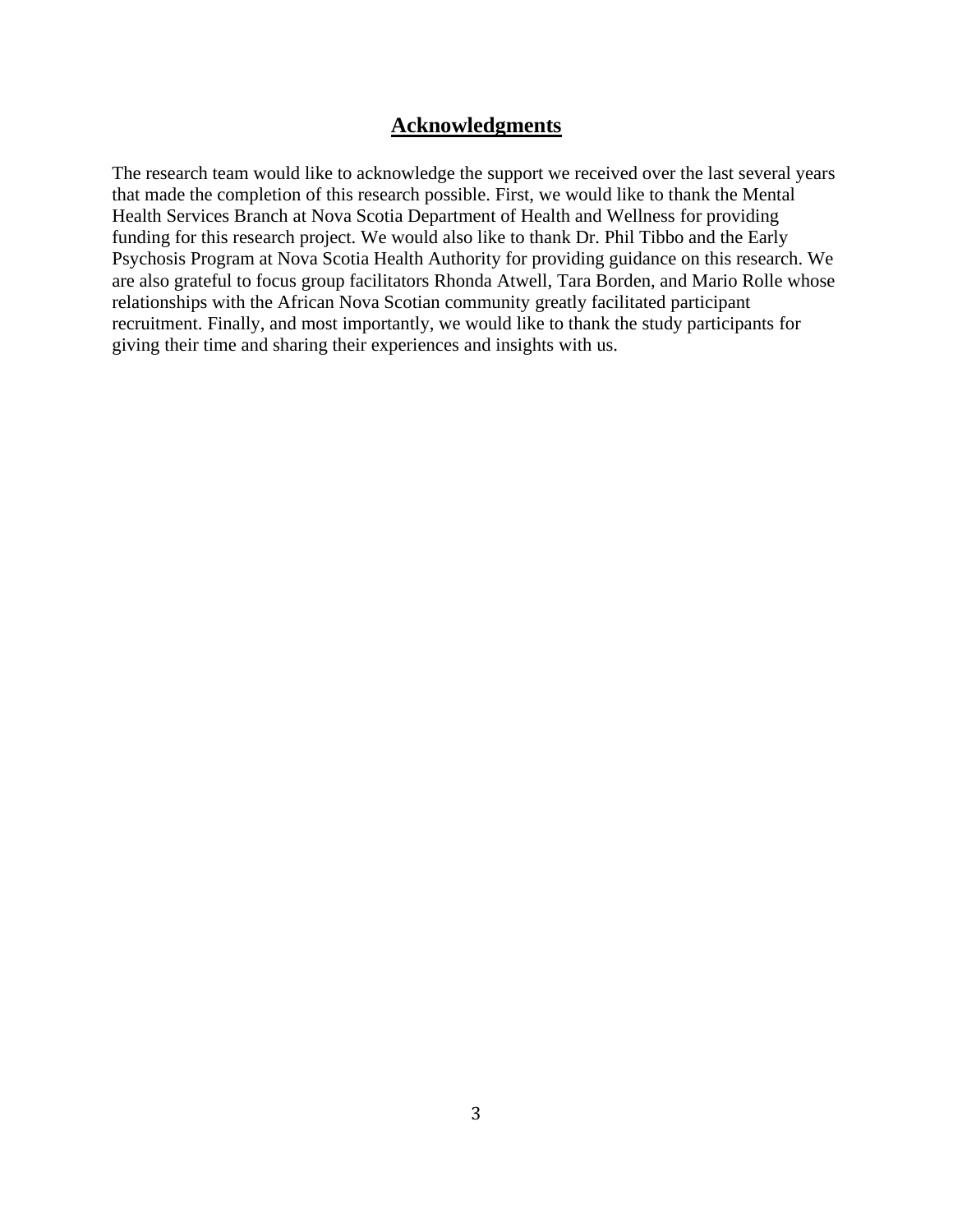## **Acknowledgments**

The research team would like to acknowledge the support we received over the last several years that made the completion of this research possible. First, we would like to thank the Mental Health Services Branch at Nova Scotia Department of Health and Wellness for providing funding for this research project. We would also like to thank Dr. Phil Tibbo and the Early Psychosis Program at Nova Scotia Health Authority for providing guidance on this research. We are also grateful to focus group facilitators Rhonda Atwell, Tara Borden, and Mario Rolle whose relationships with the African Nova Scotian community greatly facilitated participant recruitment. Finally, and most importantly, we would like to thank the study participants for giving their time and sharing their experiences and insights with us.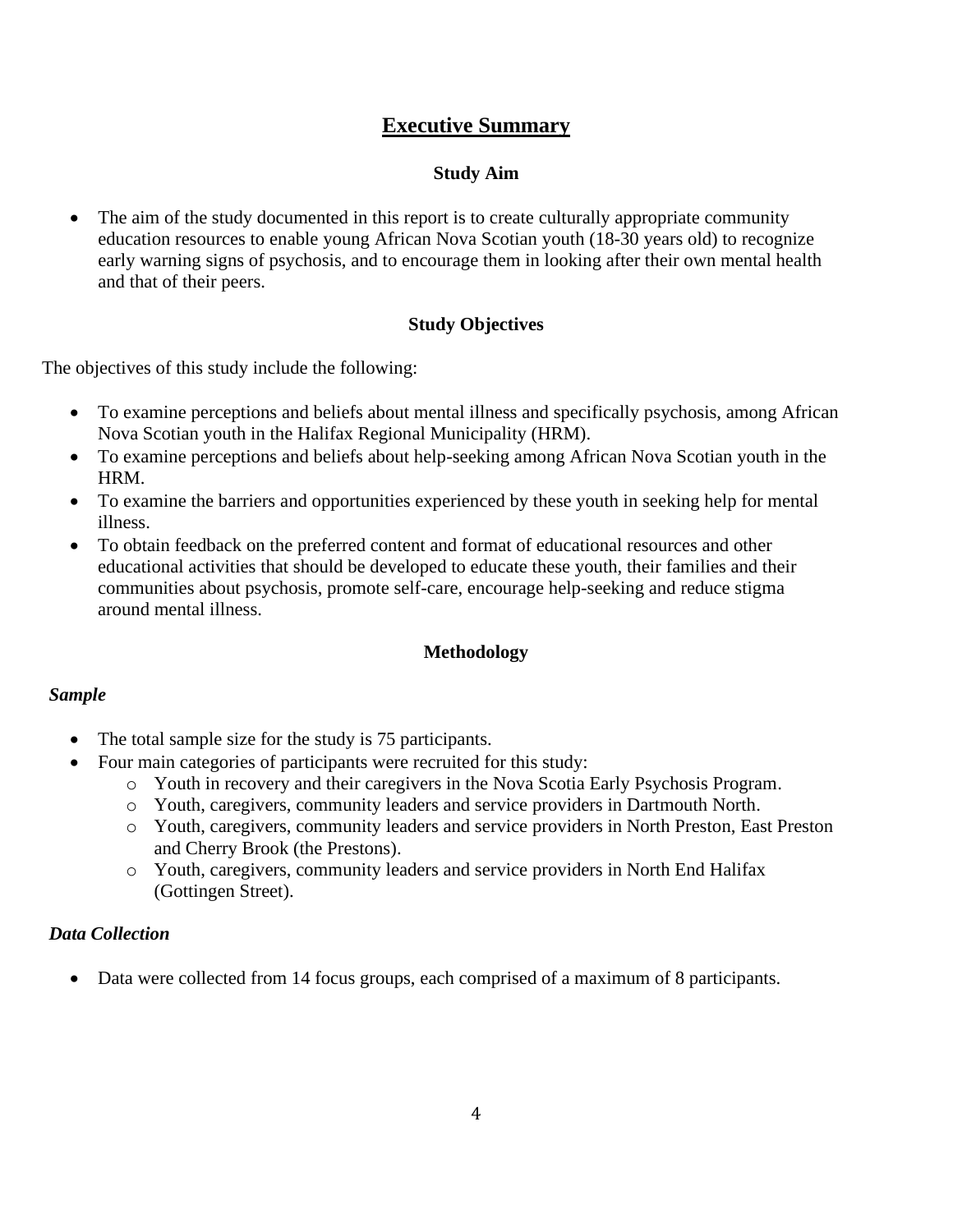## **Executive Summary**

## **Study Aim**

• The aim of the study documented in this report is to create culturally appropriate community education resources to enable young African Nova Scotian youth (18-30 years old) to recognize early warning signs of psychosis, and to encourage them in looking after their own mental health and that of their peers.

## **Study Objectives**

The objectives of this study include the following:

- To examine perceptions and beliefs about mental illness and specifically psychosis, among African Nova Scotian youth in the Halifax Regional Municipality (HRM).
- To examine perceptions and beliefs about help-seeking among African Nova Scotian youth in the HRM.
- To examine the barriers and opportunities experienced by these youth in seeking help for mental illness.
- To obtain feedback on the preferred content and format of educational resources and other educational activities that should be developed to educate these youth, their families and their communities about psychosis, promote self-care, encourage help-seeking and reduce stigma around mental illness.

## **Methodology**

### *Sample*

- The total sample size for the study is 75 participants.
- Four main categories of participants were recruited for this study:
	- o Youth in recovery and their caregivers in the Nova Scotia Early Psychosis Program.
	- o Youth, caregivers, community leaders and service providers in Dartmouth North.
	- o Youth, caregivers, community leaders and service providers in North Preston, East Preston and Cherry Brook (the Prestons).
	- o Youth, caregivers, community leaders and service providers in North End Halifax (Gottingen Street).

### *Data Collection*

• Data were collected from 14 focus groups, each comprised of a maximum of 8 participants.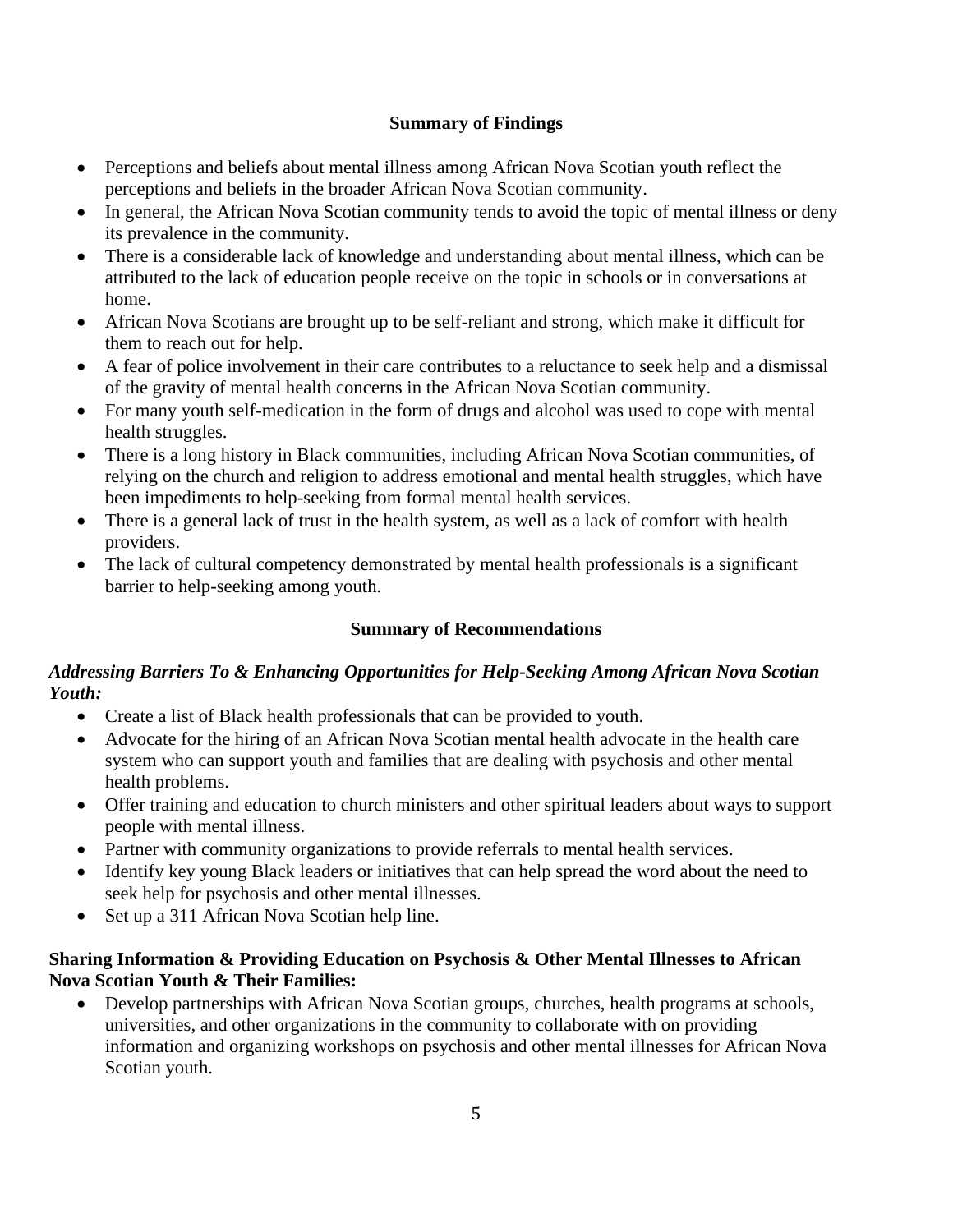## **Summary of Findings**

- Perceptions and beliefs about mental illness among African Nova Scotian youth reflect the perceptions and beliefs in the broader African Nova Scotian community.
- In general, the African Nova Scotian community tends to avoid the topic of mental illness or deny its prevalence in the community.
- There is a considerable lack of knowledge and understanding about mental illness, which can be attributed to the lack of education people receive on the topic in schools or in conversations at home.
- African Nova Scotians are brought up to be self-reliant and strong, which make it difficult for them to reach out for help.
- A fear of police involvement in their care contributes to a reluctance to seek help and a dismissal of the gravity of mental health concerns in the African Nova Scotian community.
- For many youth self-medication in the form of drugs and alcohol was used to cope with mental health struggles.
- There is a long history in Black communities, including African Nova Scotian communities, of relying on the church and religion to address emotional and mental health struggles, which have been impediments to help-seeking from formal mental health services.
- There is a general lack of trust in the health system, as well as a lack of comfort with health providers.
- The lack of cultural competency demonstrated by mental health professionals is a significant barrier to help-seeking among youth.

## **Summary of Recommendations**

## *Addressing Barriers To & Enhancing Opportunities for Help-Seeking Among African Nova Scotian Youth:*

- Create a list of Black health professionals that can be provided to youth.
- Advocate for the hiring of an African Nova Scotian mental health advocate in the health care system who can support youth and families that are dealing with psychosis and other mental health problems.
- Offer training and education to church ministers and other spiritual leaders about ways to support people with mental illness.
- Partner with community organizations to provide referrals to mental health services.
- Identify key young Black leaders or initiatives that can help spread the word about the need to seek help for psychosis and other mental illnesses.
- Set up a 311 African Nova Scotian help line.

## **Sharing Information & Providing Education on Psychosis & Other Mental Illnesses to African Nova Scotian Youth & Their Families:**

• Develop partnerships with African Nova Scotian groups, churches, health programs at schools, universities, and other organizations in the community to collaborate with on providing information and organizing workshops on psychosis and other mental illnesses for African Nova Scotian youth.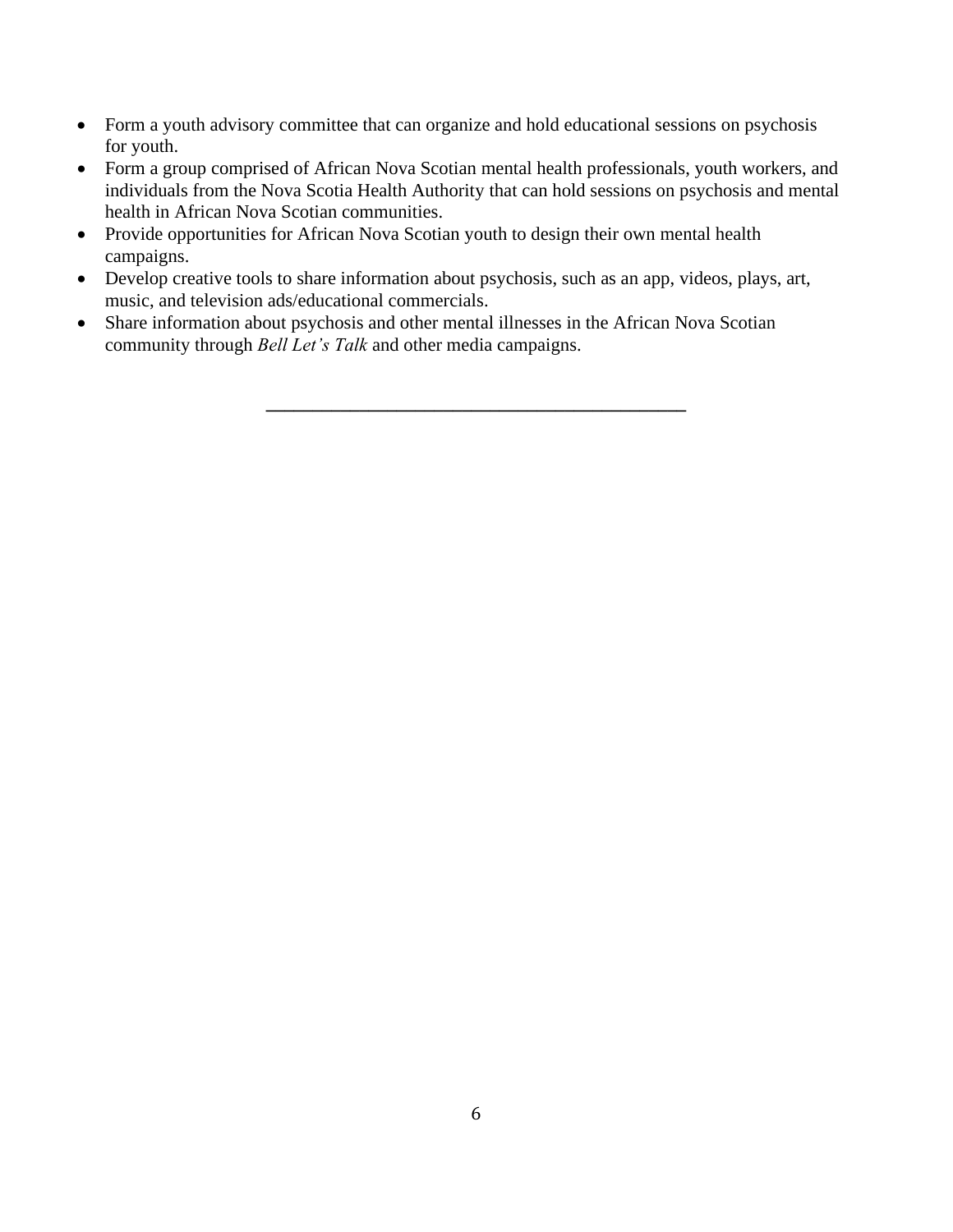- Form a youth advisory committee that can organize and hold educational sessions on psychosis for youth.
- Form a group comprised of African Nova Scotian mental health professionals, youth workers, and individuals from the Nova Scotia Health Authority that can hold sessions on psychosis and mental health in African Nova Scotian communities.
- Provide opportunities for African Nova Scotian youth to design their own mental health campaigns.
- Develop creative tools to share information about psychosis, such as an app, videos, plays, art, music, and television ads/educational commercials.

**\_\_\_\_\_\_\_\_\_\_\_\_\_\_\_\_\_\_\_\_\_\_\_\_\_\_\_\_\_\_\_\_\_\_\_\_\_\_\_\_\_\_\_\_\_**

• Share information about psychosis and other mental illnesses in the African Nova Scotian community through *Bell Let's Talk* and other media campaigns.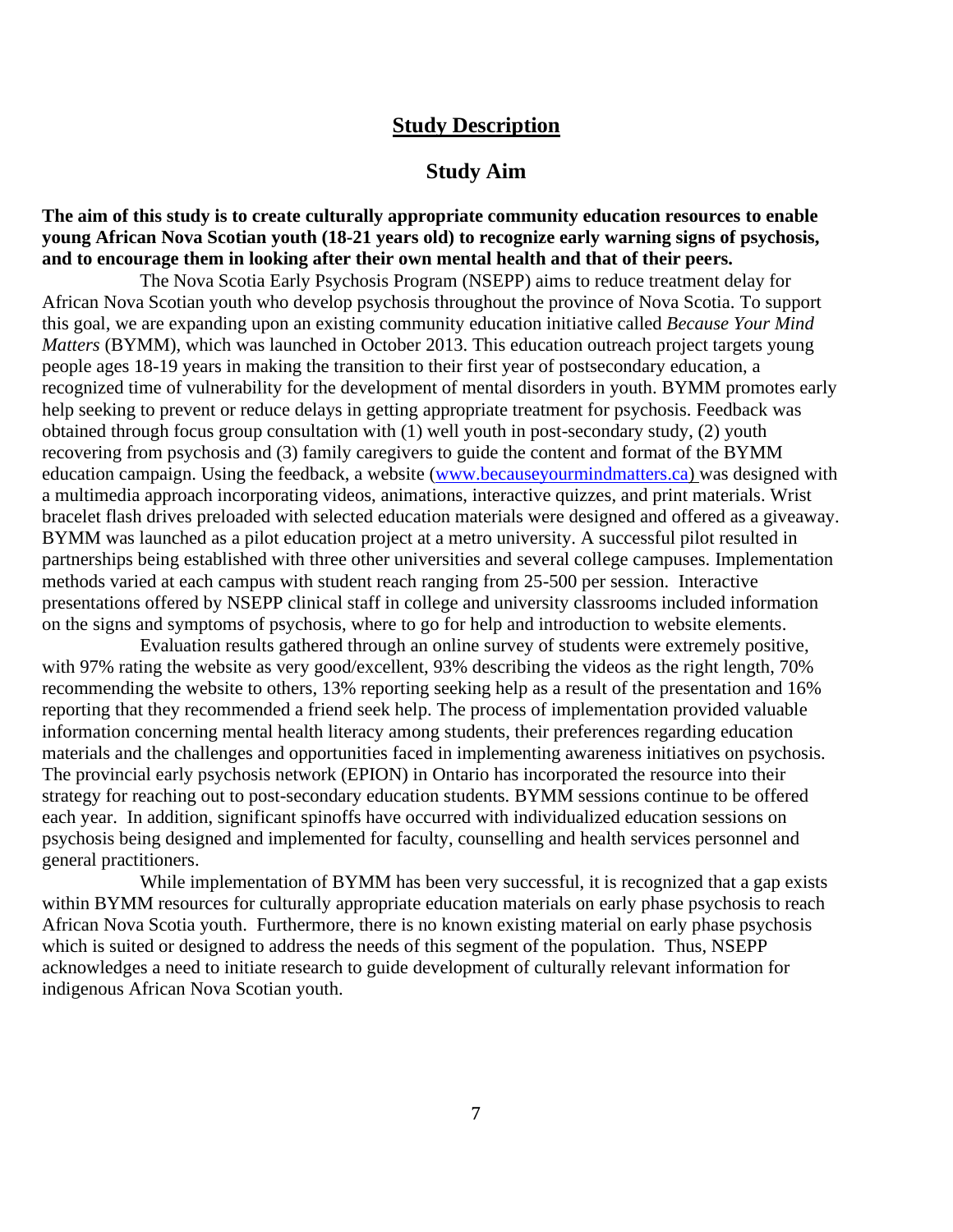### **Study Description**

### **Study Aim**

### **The aim of this study is to create culturally appropriate community education resources to enable young African Nova Scotian youth (18-21 years old) to recognize early warning signs of psychosis, and to encourage them in looking after their own mental health and that of their peers.**

The Nova Scotia Early Psychosis Program (NSEPP) aims to reduce treatment delay for African Nova Scotian youth who develop psychosis throughout the province of Nova Scotia. To support this goal, we are expanding upon an existing community education initiative called *Because Your Mind Matters* (BYMM), which was launched in October 2013. This education outreach project targets young people ages 18-19 years in making the transition to their first year of postsecondary education, a recognized time of vulnerability for the development of mental disorders in youth. BYMM promotes early help seeking to prevent or reduce delays in getting appropriate treatment for psychosis. Feedback was obtained through focus group consultation with (1) well youth in post-secondary study, (2) youth recovering from psychosis and (3) family caregivers to guide the content and format of the BYMM education campaign. Using the feedback, a website [\(www.becauseyourmindmatters.ca\)](http://www.becauseyourmindmatters.ca/) was designed with a multimedia approach incorporating videos, animations, interactive quizzes, and print materials. Wrist bracelet flash drives preloaded with selected education materials were designed and offered as a giveaway. BYMM was launched as a pilot education project at a metro university. A successful pilot resulted in partnerships being established with three other universities and several college campuses. Implementation methods varied at each campus with student reach ranging from 25-500 per session. Interactive presentations offered by NSEPP clinical staff in college and university classrooms included information on the signs and symptoms of psychosis, where to go for help and introduction to website elements.

Evaluation results gathered through an online survey of students were extremely positive, with 97% rating the website as very good/excellent, 93% describing the videos as the right length, 70% recommending the website to others, 13% reporting seeking help as a result of the presentation and 16% reporting that they recommended a friend seek help. The process of implementation provided valuable information concerning mental health literacy among students, their preferences regarding education materials and the challenges and opportunities faced in implementing awareness initiatives on psychosis. The provincial early psychosis network (EPION) in Ontario has incorporated the resource into their strategy for reaching out to post-secondary education students. BYMM sessions continue to be offered each year. In addition, significant spinoffs have occurred with individualized education sessions on psychosis being designed and implemented for faculty, counselling and health services personnel and general practitioners.

While implementation of BYMM has been very successful, it is recognized that a gap exists within BYMM resources for culturally appropriate education materials on early phase psychosis to reach African Nova Scotia youth. Furthermore, there is no known existing material on early phase psychosis which is suited or designed to address the needs of this segment of the population. Thus, NSEPP acknowledges a need to initiate research to guide development of culturally relevant information for indigenous African Nova Scotian youth.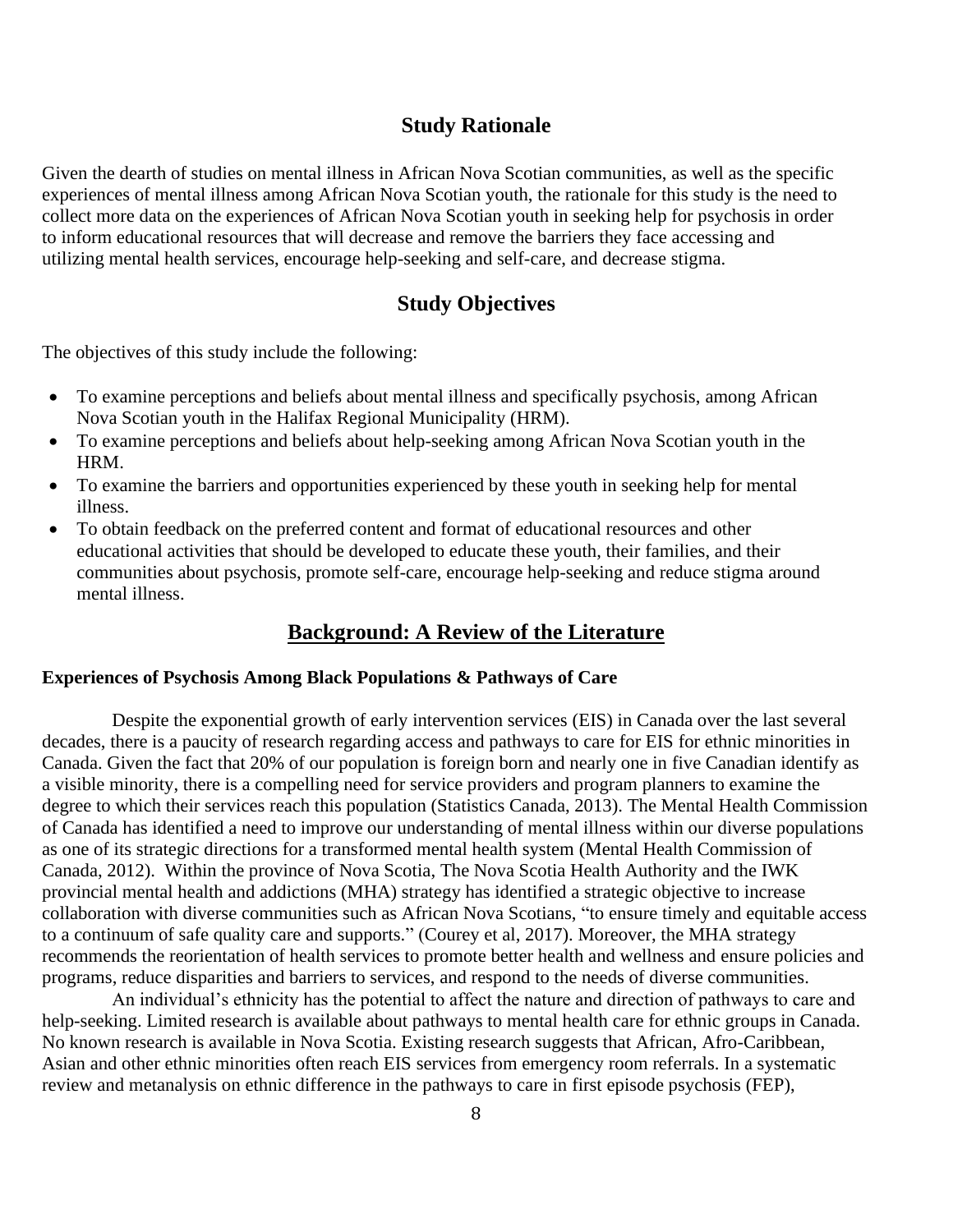### **Study Rationale**

Given the dearth of studies on mental illness in African Nova Scotian communities, as well as the specific experiences of mental illness among African Nova Scotian youth, the rationale for this study is the need to collect more data on the experiences of African Nova Scotian youth in seeking help for psychosis in order to inform educational resources that will decrease and remove the barriers they face accessing and utilizing mental health services, encourage help-seeking and self-care, and decrease stigma.

## **Study Objectives**

The objectives of this study include the following:

- To examine perceptions and beliefs about mental illness and specifically psychosis, among African Nova Scotian youth in the Halifax Regional Municipality (HRM).
- To examine perceptions and beliefs about help-seeking among African Nova Scotian youth in the HRM.
- To examine the barriers and opportunities experienced by these youth in seeking help for mental illness.
- To obtain feedback on the preferred content and format of educational resources and other educational activities that should be developed to educate these youth, their families, and their communities about psychosis, promote self-care, encourage help-seeking and reduce stigma around mental illness.

## **Background: A Review of the Literature**

### **Experiences of Psychosis Among Black Populations & Pathways of Care**

Despite the exponential growth of early intervention services (EIS) in Canada over the last several decades, there is a paucity of research regarding access and pathways to care for EIS for ethnic minorities in Canada. Given the fact that 20% of our population is foreign born and nearly one in five Canadian identify as a visible minority, there is a compelling need for service providers and program planners to examine the degree to which their services reach this population (Statistics Canada, 2013). The Mental Health Commission of Canada has identified a need to improve our understanding of mental illness within our diverse populations as one of its strategic directions for a transformed mental health system (Mental Health Commission of Canada, 2012). Within the province of Nova Scotia, The Nova Scotia Health Authority and the IWK provincial mental health and addictions (MHA) strategy has identified a strategic objective to increase collaboration with diverse communities such as African Nova Scotians, "to ensure timely and equitable access to a continuum of safe quality care and supports." (Courey et al, 2017). Moreover, the MHA strategy recommends the reorientation of health services to promote better health and wellness and ensure policies and programs, reduce disparities and barriers to services, and respond to the needs of diverse communities.

An individual's ethnicity has the potential to affect the nature and direction of pathways to care and help-seeking. Limited research is available about pathways to mental health care for ethnic groups in Canada. No known research is available in Nova Scotia. Existing research suggests that African, Afro-Caribbean, Asian and other ethnic minorities often reach EIS services from emergency room referrals. In a systematic review and metanalysis on ethnic difference in the pathways to care in first episode psychosis (FEP),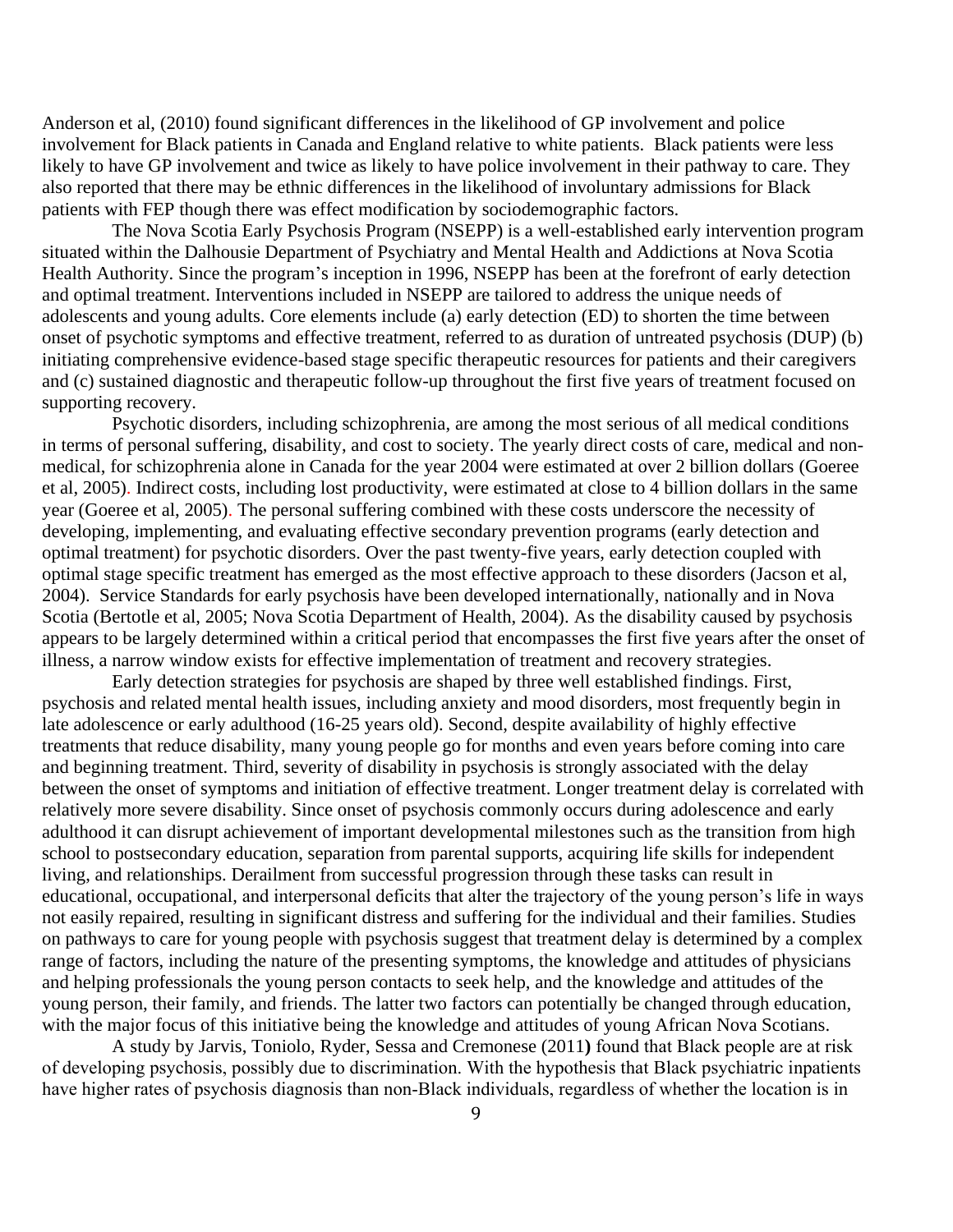Anderson et al, (2010) found significant differences in the likelihood of GP involvement and police involvement for Black patients in Canada and England relative to white patients. Black patients were less likely to have GP involvement and twice as likely to have police involvement in their pathway to care. They also reported that there may be ethnic differences in the likelihood of involuntary admissions for Black patients with FEP though there was effect modification by sociodemographic factors.

The Nova Scotia Early Psychosis Program (NSEPP) is a well-established early intervention program situated within the Dalhousie Department of Psychiatry and Mental Health and Addictions at Nova Scotia Health Authority. Since the program's inception in 1996, NSEPP has been at the forefront of early detection and optimal treatment. Interventions included in NSEPP are tailored to address the unique needs of adolescents and young adults. Core elements include (a) early detection (ED) to shorten the time between onset of psychotic symptoms and effective treatment, referred to as duration of untreated psychosis (DUP) (b) initiating comprehensive evidence-based stage specific therapeutic resources for patients and their caregivers and (c) sustained diagnostic and therapeutic follow-up throughout the first five years of treatment focused on supporting recovery.

Psychotic disorders, including schizophrenia, are among the most serious of all medical conditions in terms of personal suffering, disability, and cost to society. The yearly direct costs of care, medical and nonmedical, for schizophrenia alone in Canada for the year 2004 were estimated at over 2 billion dollars (Goeree et al, 2005). Indirect costs, including lost productivity, were estimated at close to 4 billion dollars in the same year (Goeree et al, 2005). The personal suffering combined with these costs underscore the necessity of developing, implementing, and evaluating effective secondary prevention programs (early detection and optimal treatment) for psychotic disorders. Over the past twenty-five years, early detection coupled with optimal stage specific treatment has emerged as the most effective approach to these disorders (Jacson et al, 2004). Service Standards for early psychosis have been developed internationally, nationally and in Nova Scotia (Bertotle et al, 2005; Nova Scotia Department of Health, 2004). As the disability caused by psychosis appears to be largely determined within a critical period that encompasses the first five years after the onset of illness, a narrow window exists for effective implementation of treatment and recovery strategies.

Early detection strategies for psychosis are shaped by three well established findings. First, psychosis and related mental health issues, including anxiety and mood disorders, most frequently begin in late adolescence or early adulthood (16-25 years old). Second, despite availability of highly effective treatments that reduce disability, many young people go for months and even years before coming into care and beginning treatment. Third, severity of disability in psychosis is strongly associated with the delay between the onset of symptoms and initiation of effective treatment. Longer treatment delay is correlated with relatively more severe disability. Since onset of psychosis commonly occurs during adolescence and early adulthood it can disrupt achievement of important developmental milestones such as the transition from high school to postsecondary education, separation from parental supports, acquiring life skills for independent living, and relationships. Derailment from successful progression through these tasks can result in educational, occupational, and interpersonal deficits that alter the trajectory of the young person's life in ways not easily repaired, resulting in significant distress and suffering for the individual and their families. Studies on pathways to care for young people with psychosis suggest that treatment delay is determined by a complex range of factors, including the nature of the presenting symptoms, the knowledge and attitudes of physicians and helping professionals the young person contacts to seek help, and the knowledge and attitudes of the young person, their family, and friends. The latter two factors can potentially be changed through education, with the major focus of this initiative being the knowledge and attitudes of young African Nova Scotians.

A study by Jarvis, Toniolo, Ryder, Sessa and Cremonese (2011**)** found that Black people are at risk of developing psychosis, possibly due to discrimination. With the hypothesis that Black psychiatric inpatients have higher rates of psychosis diagnosis than non-Black individuals, regardless of whether the location is in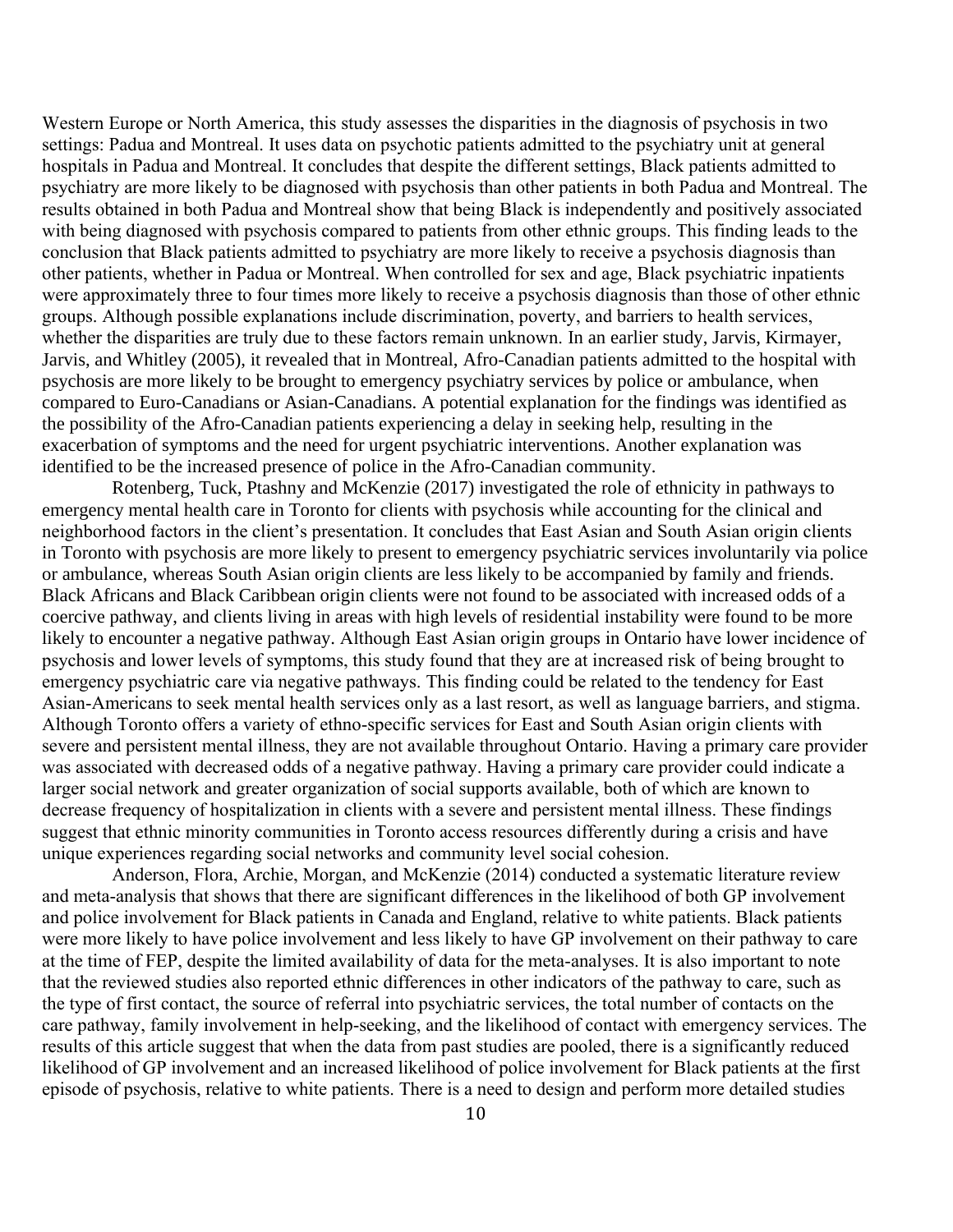Western Europe or North America, this study assesses the disparities in the diagnosis of psychosis in two settings: Padua and Montreal. It uses data on psychotic patients admitted to the psychiatry unit at general hospitals in Padua and Montreal. It concludes that despite the different settings, Black patients admitted to psychiatry are more likely to be diagnosed with psychosis than other patients in both Padua and Montreal. The results obtained in both Padua and Montreal show that being Black is independently and positively associated with being diagnosed with psychosis compared to patients from other ethnic groups. This finding leads to the conclusion that Black patients admitted to psychiatry are more likely to receive a psychosis diagnosis than other patients, whether in Padua or Montreal. When controlled for sex and age, Black psychiatric inpatients were approximately three to four times more likely to receive a psychosis diagnosis than those of other ethnic groups. Although possible explanations include discrimination, poverty, and barriers to health services, whether the disparities are truly due to these factors remain unknown. In an earlier study, Jarvis, Kirmayer, Jarvis, and Whitley (2005), it revealed that in Montreal, Afro-Canadian patients admitted to the hospital with psychosis are more likely to be brought to emergency psychiatry services by police or ambulance, when compared to Euro-Canadians or Asian-Canadians. A potential explanation for the findings was identified as the possibility of the Afro-Canadian patients experiencing a delay in seeking help, resulting in the exacerbation of symptoms and the need for urgent psychiatric interventions. Another explanation was identified to be the increased presence of police in the Afro-Canadian community.

Rotenberg, Tuck, Ptashny and McKenzie (2017) investigated the role of ethnicity in pathways to emergency mental health care in Toronto for clients with psychosis while accounting for the clinical and neighborhood factors in the client's presentation. It concludes that East Asian and South Asian origin clients in Toronto with psychosis are more likely to present to emergency psychiatric services involuntarily via police or ambulance, whereas South Asian origin clients are less likely to be accompanied by family and friends. Black Africans and Black Caribbean origin clients were not found to be associated with increased odds of a coercive pathway, and clients living in areas with high levels of residential instability were found to be more likely to encounter a negative pathway. Although East Asian origin groups in Ontario have lower incidence of psychosis and lower levels of symptoms, this study found that they are at increased risk of being brought to emergency psychiatric care via negative pathways. This finding could be related to the tendency for East Asian-Americans to seek mental health services only as a last resort, as well as language barriers, and stigma. Although Toronto offers a variety of ethno-specific services for East and South Asian origin clients with severe and persistent mental illness, they are not available throughout Ontario. Having a primary care provider was associated with decreased odds of a negative pathway. Having a primary care provider could indicate a larger social network and greater organization of social supports available, both of which are known to decrease frequency of hospitalization in clients with a severe and persistent mental illness. These findings suggest that ethnic minority communities in Toronto access resources differently during a crisis and have unique experiences regarding social networks and community level social cohesion.

Anderson, Flora, Archie, Morgan, and McKenzie (2014) conducted a systematic literature review and meta-analysis that shows that there are significant differences in the likelihood of both GP involvement and police involvement for Black patients in Canada and England, relative to white patients. Black patients were more likely to have police involvement and less likely to have GP involvement on their pathway to care at the time of FEP, despite the limited availability of data for the meta-analyses. It is also important to note that the reviewed studies also reported ethnic differences in other indicators of the pathway to care, such as the type of first contact, the source of referral into psychiatric services, the total number of contacts on the care pathway, family involvement in help-seeking, and the likelihood of contact with emergency services. The results of this article suggest that when the data from past studies are pooled, there is a significantly reduced likelihood of GP involvement and an increased likelihood of police involvement for Black patients at the first episode of psychosis, relative to white patients. There is a need to design and perform more detailed studies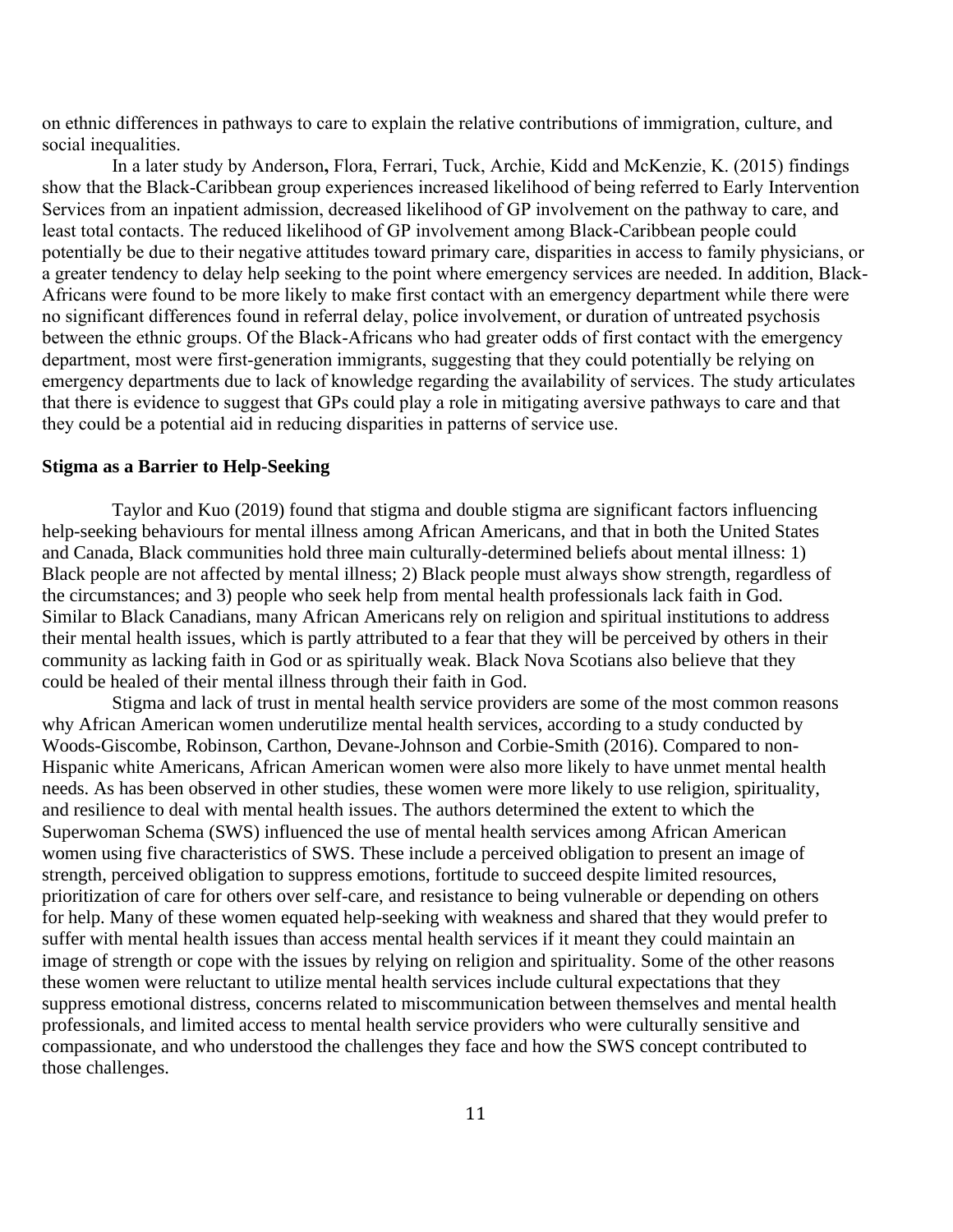on ethnic differences in pathways to care to explain the relative contributions of immigration, culture, and social inequalities.

In a later study by Anderson**,** Flora, Ferrari, Tuck, Archie, Kidd and McKenzie, K. (2015) findings show that the Black-Caribbean group experiences increased likelihood of being referred to Early Intervention Services from an inpatient admission, decreased likelihood of GP involvement on the pathway to care, and least total contacts. The reduced likelihood of GP involvement among Black-Caribbean people could potentially be due to their negative attitudes toward primary care, disparities in access to family physicians, or a greater tendency to delay help seeking to the point where emergency services are needed. In addition, Black-Africans were found to be more likely to make first contact with an emergency department while there were no significant differences found in referral delay, police involvement, or duration of untreated psychosis between the ethnic groups. Of the Black-Africans who had greater odds of first contact with the emergency department, most were first-generation immigrants, suggesting that they could potentially be relying on emergency departments due to lack of knowledge regarding the availability of services. The study articulates that there is evidence to suggest that GPs could play a role in mitigating aversive pathways to care and that they could be a potential aid in reducing disparities in patterns of service use.

#### **Stigma as a Barrier to Help-Seeking**

Taylor and Kuo (2019) found that stigma and double stigma are significant factors influencing help-seeking behaviours for mental illness among African Americans, and that in both the United States and Canada, Black communities hold three main culturally-determined beliefs about mental illness: 1) Black people are not affected by mental illness; 2) Black people must always show strength, regardless of the circumstances; and 3) people who seek help from mental health professionals lack faith in God. Similar to Black Canadians, many African Americans rely on religion and spiritual institutions to address their mental health issues, which is partly attributed to a fear that they will be perceived by others in their community as lacking faith in God or as spiritually weak. Black Nova Scotians also believe that they could be healed of their mental illness through their faith in God.

Stigma and lack of trust in mental health service providers are some of the most common reasons why African American women underutilize mental health services, according to a study conducted by Woods-Giscombe, Robinson, Carthon, Devane-Johnson and Corbie-Smith (2016). Compared to non-Hispanic white Americans, African American women were also more likely to have unmet mental health needs. As has been observed in other studies, these women were more likely to use religion, spirituality, and resilience to deal with mental health issues. The authors determined the extent to which the Superwoman Schema (SWS) influenced the use of mental health services among African American women using five characteristics of SWS. These include a perceived obligation to present an image of strength, perceived obligation to suppress emotions, fortitude to succeed despite limited resources, prioritization of care for others over self-care, and resistance to being vulnerable or depending on others for help. Many of these women equated help-seeking with weakness and shared that they would prefer to suffer with mental health issues than access mental health services if it meant they could maintain an image of strength or cope with the issues by relying on religion and spirituality. Some of the other reasons these women were reluctant to utilize mental health services include cultural expectations that they suppress emotional distress, concerns related to miscommunication between themselves and mental health professionals, and limited access to mental health service providers who were culturally sensitive and compassionate, and who understood the challenges they face and how the SWS concept contributed to those challenges.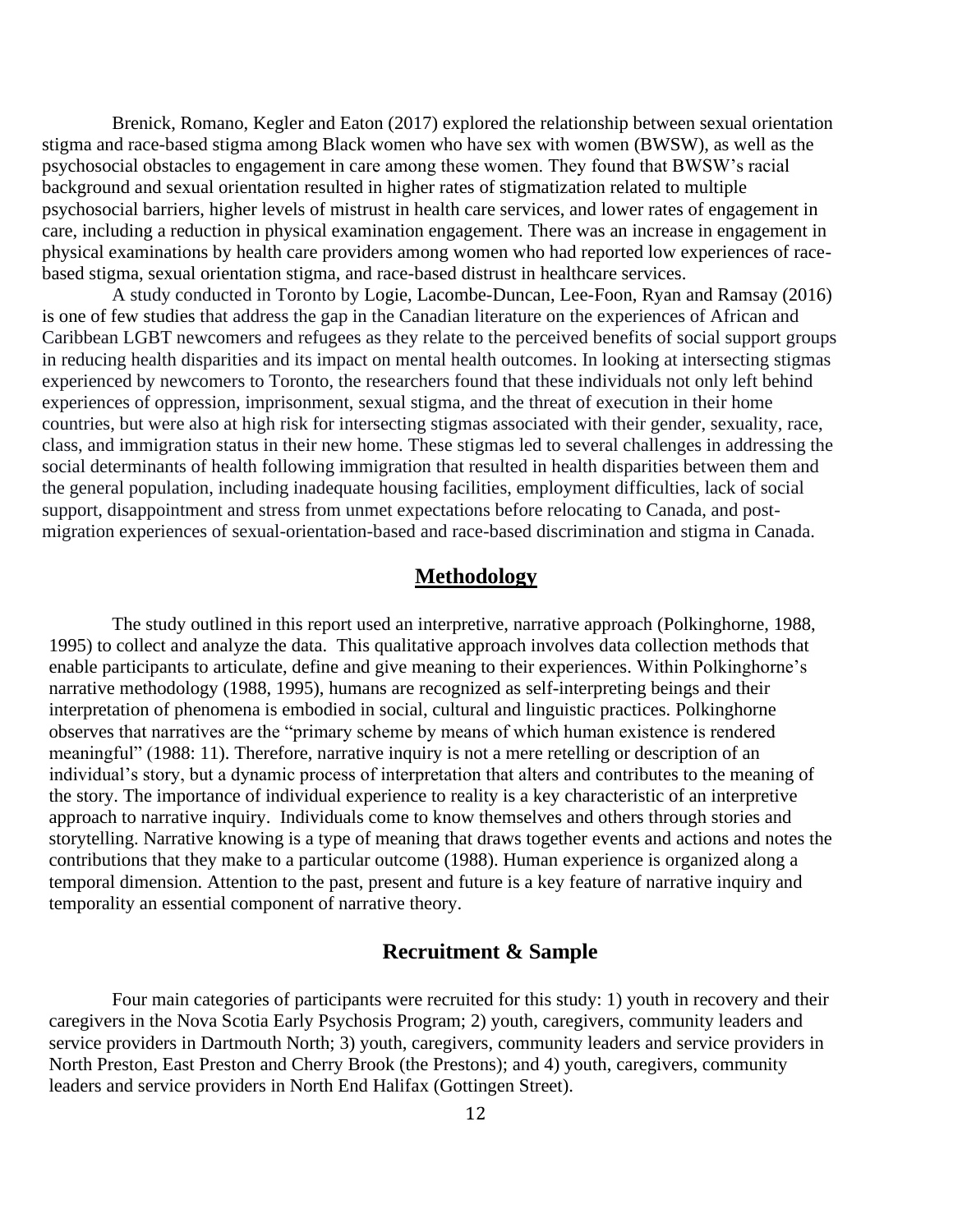Brenick, Romano, Kegler and Eaton (2017) explored the relationship between sexual orientation stigma and race-based stigma among Black women who have sex with women (BWSW), as well as the psychosocial obstacles to engagement in care among these women. They found that BWSW's racial background and sexual orientation resulted in higher rates of stigmatization related to multiple psychosocial barriers, higher levels of mistrust in health care services, and lower rates of engagement in care, including a reduction in physical examination engagement. There was an increase in engagement in physical examinations by health care providers among women who had reported low experiences of racebased stigma, sexual orientation stigma, and race-based distrust in healthcare services.

A study conducted in Toronto by Logie, Lacombe-Duncan, Lee-Foon, Ryan and Ramsay (2016) is one of few studies that address the gap in the Canadian literature on the experiences of African and Caribbean LGBT newcomers and refugees as they relate to the perceived benefits of social support groups in reducing health disparities and its impact on mental health outcomes. In looking at intersecting stigmas experienced by newcomers to Toronto, the researchers found that these individuals not only left behind experiences of oppression, imprisonment, sexual stigma, and the threat of execution in their home countries, but were also at high risk for intersecting stigmas associated with their gender, sexuality, race, class, and immigration status in their new home. These stigmas led to several challenges in addressing the social determinants of health following immigration that resulted in health disparities between them and the general population, including inadequate housing facilities, employment difficulties, lack of social support, disappointment and stress from unmet expectations before relocating to Canada, and postmigration experiences of sexual-orientation-based and race-based discrimination and stigma in Canada.

### **Methodology**

The study outlined in this report used an interpretive, narrative approach (Polkinghorne, 1988, 1995) to collect and analyze the data. This qualitative approach involves data collection methods that enable participants to articulate, define and give meaning to their experiences. Within Polkinghorne's narrative methodology (1988, 1995), humans are recognized as self-interpreting beings and their interpretation of phenomena is embodied in social, cultural and linguistic practices. Polkinghorne observes that narratives are the "primary scheme by means of which human existence is rendered meaningful" (1988: 11). Therefore, narrative inquiry is not a mere retelling or description of an individual's story, but a dynamic process of interpretation that alters and contributes to the meaning of the story. The importance of individual experience to reality is a key characteristic of an interpretive approach to narrative inquiry. Individuals come to know themselves and others through stories and storytelling. Narrative knowing is a type of meaning that draws together events and actions and notes the contributions that they make to a particular outcome (1988). Human experience is organized along a temporal dimension. Attention to the past, present and future is a key feature of narrative inquiry and temporality an essential component of narrative theory.

### **Recruitment & Sample**

Four main categories of participants were recruited for this study: 1) youth in recovery and their caregivers in the Nova Scotia Early Psychosis Program; 2) youth, caregivers, community leaders and service providers in Dartmouth North; 3) youth, caregivers, community leaders and service providers in North Preston, East Preston and Cherry Brook (the Prestons); and 4) youth, caregivers, community leaders and service providers in North End Halifax (Gottingen Street).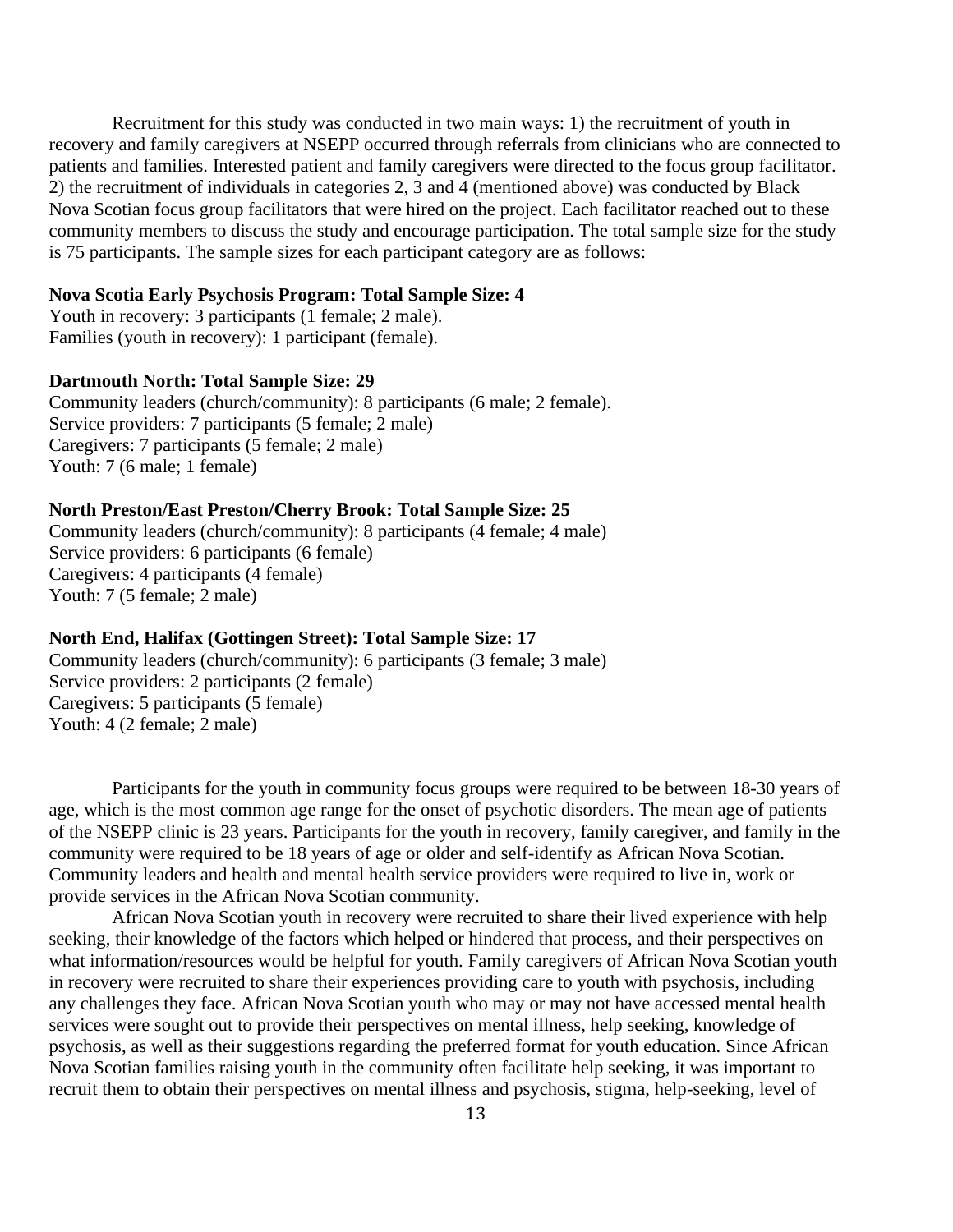Recruitment for this study was conducted in two main ways: 1) the recruitment of youth in recovery and family caregivers at NSEPP occurred through referrals from clinicians who are connected to patients and families. Interested patient and family caregivers were directed to the focus group facilitator. 2) the recruitment of individuals in categories 2, 3 and 4 (mentioned above) was conducted by Black Nova Scotian focus group facilitators that were hired on the project. Each facilitator reached out to these community members to discuss the study and encourage participation. The total sample size for the study is 75 participants. The sample sizes for each participant category are as follows:

#### **Nova Scotia Early Psychosis Program: Total Sample Size: 4**

Youth in recovery: 3 participants (1 female; 2 male). Families (youth in recovery): 1 participant (female).

#### **Dartmouth North: Total Sample Size: 29**

Community leaders (church/community): 8 participants (6 male; 2 female). Service providers: 7 participants (5 female; 2 male) Caregivers: 7 participants (5 female; 2 male) Youth: 7 (6 male; 1 female)

#### **North Preston/East Preston/Cherry Brook: Total Sample Size: 25**

Community leaders (church/community): 8 participants (4 female; 4 male) Service providers: 6 participants (6 female) Caregivers: 4 participants (4 female) Youth: 7 (5 female; 2 male)

#### **North End, Halifax (Gottingen Street): Total Sample Size: 17**

Community leaders (church/community): 6 participants (3 female; 3 male) Service providers: 2 participants (2 female) Caregivers: 5 participants (5 female) Youth: 4 (2 female; 2 male)

Participants for the youth in community focus groups were required to be between 18-30 years of age, which is the most common age range for the onset of psychotic disorders. The mean age of patients of the NSEPP clinic is 23 years. Participants for the youth in recovery, family caregiver, and family in the community were required to be 18 years of age or older and self-identify as African Nova Scotian. Community leaders and health and mental health service providers were required to live in, work or provide services in the African Nova Scotian community.

African Nova Scotian youth in recovery were recruited to share their lived experience with help seeking, their knowledge of the factors which helped or hindered that process, and their perspectives on what information/resources would be helpful for youth. Family caregivers of African Nova Scotian youth in recovery were recruited to share their experiences providing care to youth with psychosis, including any challenges they face. African Nova Scotian youth who may or may not have accessed mental health services were sought out to provide their perspectives on mental illness, help seeking, knowledge of psychosis, as well as their suggestions regarding the preferred format for youth education. Since African Nova Scotian families raising youth in the community often facilitate help seeking, it was important to recruit them to obtain their perspectives on mental illness and psychosis, stigma, help-seeking, level of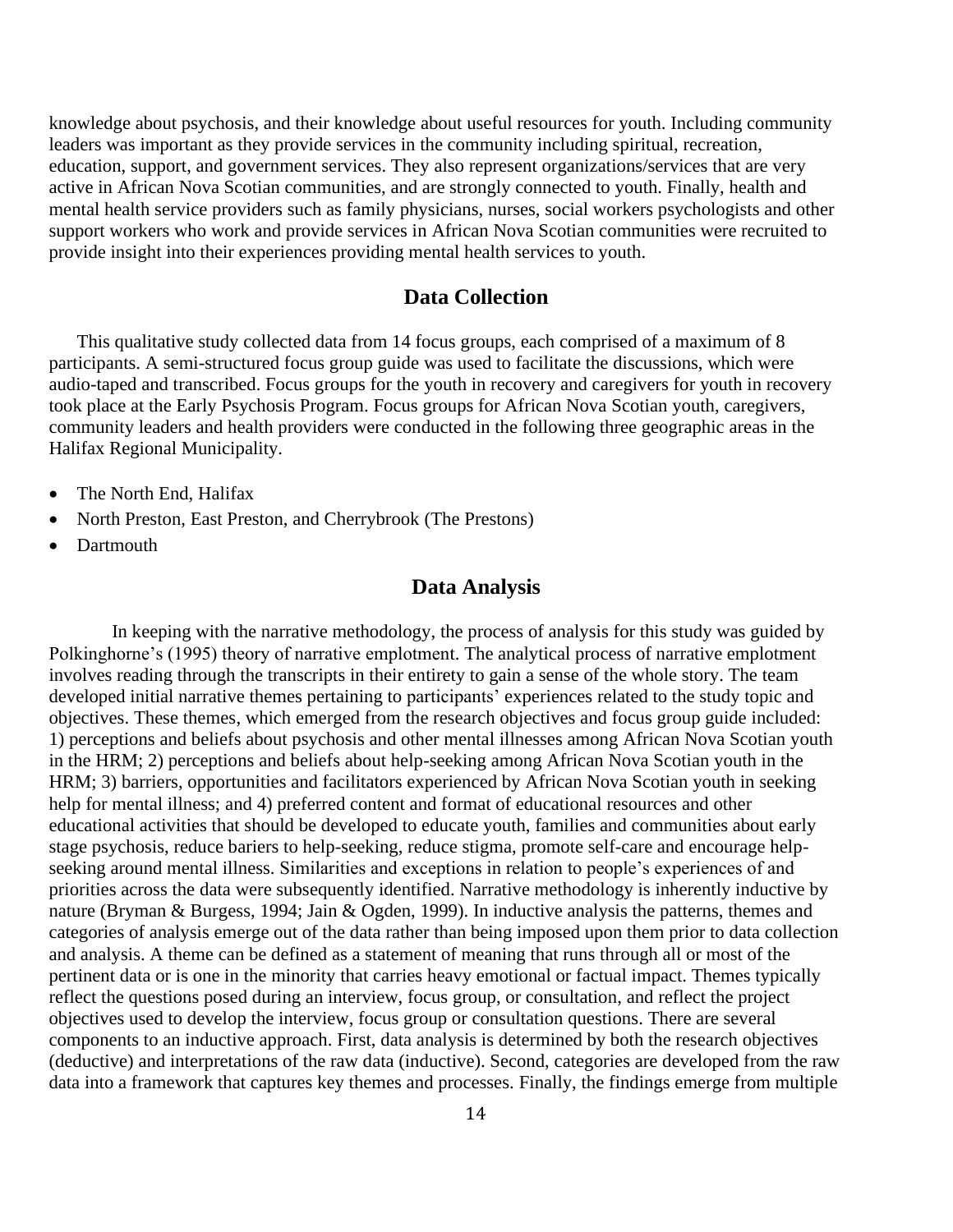knowledge about psychosis, and their knowledge about useful resources for youth. Including community leaders was important as they provide services in the community including spiritual, recreation, education, support, and government services. They also represent organizations/services that are very active in African Nova Scotian communities, and are strongly connected to youth. Finally, health and mental health service providers such as family physicians, nurses, social workers psychologists and other support workers who work and provide services in African Nova Scotian communities were recruited to provide insight into their experiences providing mental health services to youth.

### **Data Collection**

This qualitative study collected data from 14 focus groups, each comprised of a maximum of 8 participants. A semi-structured focus group guide was used to facilitate the discussions, which were audio-taped and transcribed. Focus groups for the youth in recovery and caregivers for youth in recovery took place at the Early Psychosis Program. Focus groups for African Nova Scotian youth, caregivers, community leaders and health providers were conducted in the following three geographic areas in the Halifax Regional Municipality.

- The North End, Halifax
- North Preston, East Preston, and Cherrybrook (The Prestons)
- Dartmouth

### **Data Analysis**

In keeping with the narrative methodology, the process of analysis for this study was guided by Polkinghorne's (1995) theory of narrative emplotment. The analytical process of narrative emplotment involves reading through the transcripts in their entirety to gain a sense of the whole story. The team developed initial narrative themes pertaining to participants' experiences related to the study topic and objectives. These themes, which emerged from the research objectives and focus group guide included: 1) perceptions and beliefs about psychosis and other mental illnesses among African Nova Scotian youth in the HRM; 2) perceptions and beliefs about help-seeking among African Nova Scotian youth in the HRM; 3) barriers, opportunities and facilitators experienced by African Nova Scotian youth in seeking help for mental illness; and 4) preferred content and format of educational resources and other educational activities that should be developed to educate youth, families and communities about early stage psychosis, reduce bariers to help-seeking, reduce stigma, promote self-care and encourage helpseeking around mental illness. Similarities and exceptions in relation to people's experiences of and priorities across the data were subsequently identified. Narrative methodology is inherently inductive by nature (Bryman & Burgess, 1994; Jain & Ogden, 1999). In inductive analysis the patterns, themes and categories of analysis emerge out of the data rather than being imposed upon them prior to data collection and analysis. A theme can be defined as a statement of meaning that runs through all or most of the pertinent data or is one in the minority that carries heavy emotional or factual impact. Themes typically reflect the questions posed during an interview, focus group, or consultation, and reflect the project objectives used to develop the interview, focus group or consultation questions. There are several components to an inductive approach. First, data analysis is determined by both the research objectives (deductive) and interpretations of the raw data (inductive). Second, categories are developed from the raw data into a framework that captures key themes and processes. Finally, the findings emerge from multiple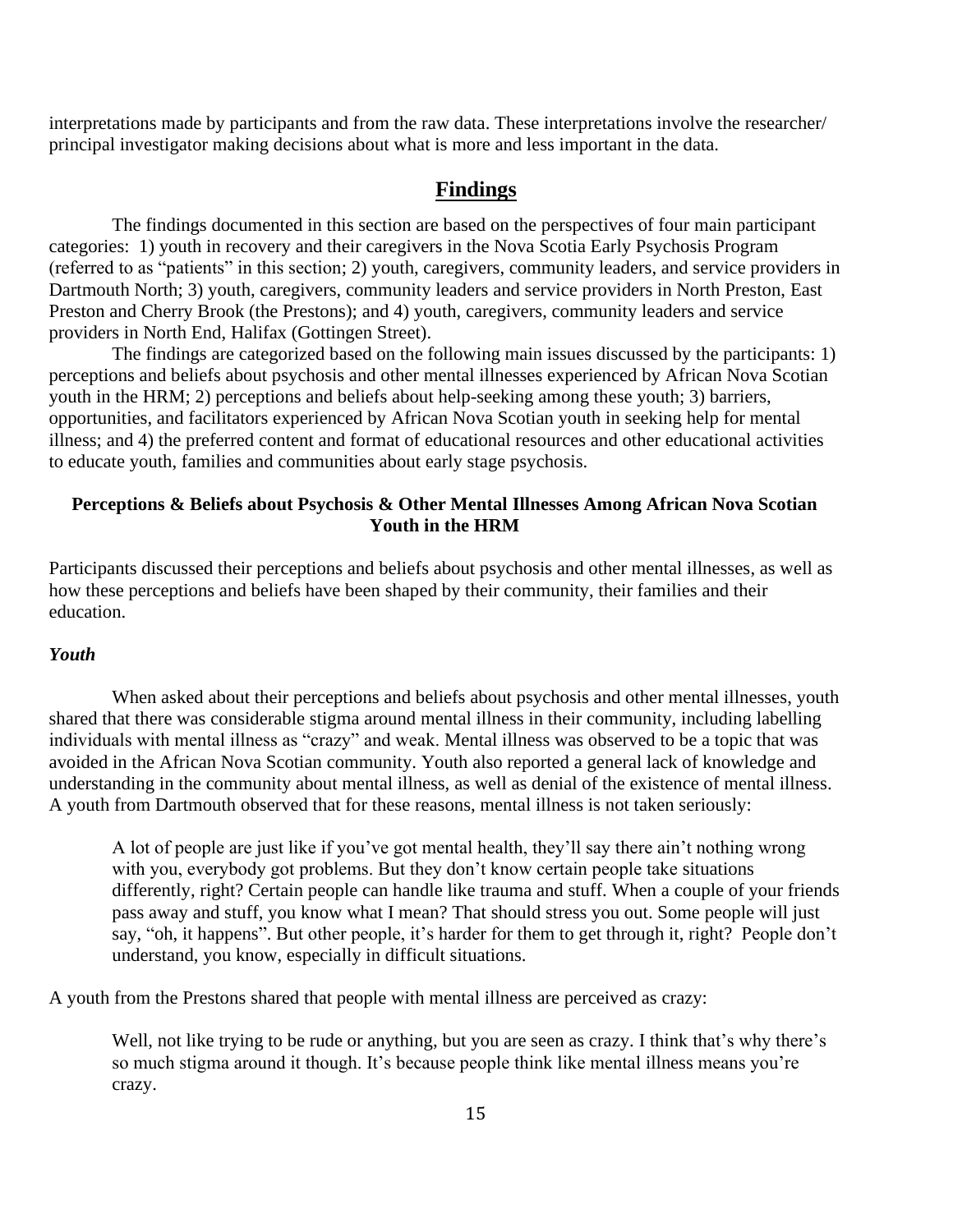interpretations made by participants and from the raw data. These interpretations involve the researcher/ principal investigator making decisions about what is more and less important in the data.

### **Findings**

The findings documented in this section are based on the perspectives of four main participant categories: 1) youth in recovery and their caregivers in the Nova Scotia Early Psychosis Program (referred to as "patients" in this section; 2) youth, caregivers, community leaders, and service providers in Dartmouth North; 3) youth, caregivers, community leaders and service providers in North Preston, East Preston and Cherry Brook (the Prestons); and 4) youth, caregivers, community leaders and service providers in North End, Halifax (Gottingen Street).

The findings are categorized based on the following main issues discussed by the participants: 1) perceptions and beliefs about psychosis and other mental illnesses experienced by African Nova Scotian youth in the HRM; 2) perceptions and beliefs about help-seeking among these youth; 3) barriers, opportunities, and facilitators experienced by African Nova Scotian youth in seeking help for mental illness; and 4) the preferred content and format of educational resources and other educational activities to educate youth, families and communities about early stage psychosis.

### **Perceptions & Beliefs about Psychosis & Other Mental Illnesses Among African Nova Scotian Youth in the HRM**

Participants discussed their perceptions and beliefs about psychosis and other mental illnesses, as well as how these perceptions and beliefs have been shaped by their community, their families and their education.

#### *Youth*

When asked about their perceptions and beliefs about psychosis and other mental illnesses, youth shared that there was considerable stigma around mental illness in their community, including labelling individuals with mental illness as "crazy" and weak. Mental illness was observed to be a topic that was avoided in the African Nova Scotian community. Youth also reported a general lack of knowledge and understanding in the community about mental illness, as well as denial of the existence of mental illness. A youth from Dartmouth observed that for these reasons, mental illness is not taken seriously:

A lot of people are just like if you've got mental health, they'll say there ain't nothing wrong with you, everybody got problems. But they don't know certain people take situations differently, right? Certain people can handle like trauma and stuff. When a couple of your friends pass away and stuff, you know what I mean? That should stress you out. Some people will just say, "oh, it happens". But other people, it's harder for them to get through it, right? People don't understand, you know, especially in difficult situations.

A youth from the Prestons shared that people with mental illness are perceived as crazy:

Well, not like trying to be rude or anything, but you are seen as crazy. I think that's why there's so much stigma around it though. It's because people think like mental illness means you're crazy.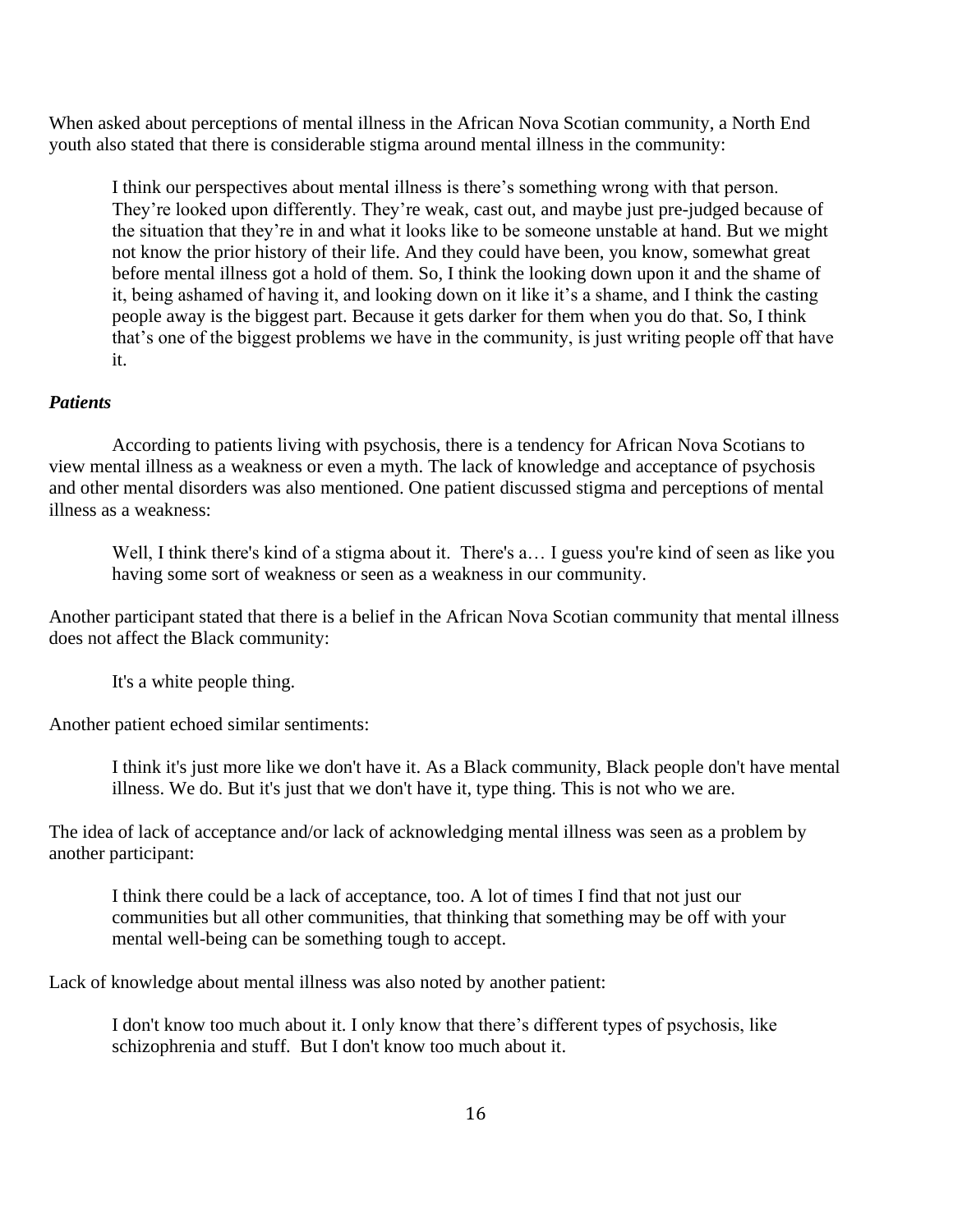When asked about perceptions of mental illness in the African Nova Scotian community, a North End youth also stated that there is considerable stigma around mental illness in the community:

I think our perspectives about mental illness is there's something wrong with that person. They're looked upon differently. They're weak, cast out, and maybe just pre-judged because of the situation that they're in and what it looks like to be someone unstable at hand. But we might not know the prior history of their life. And they could have been, you know, somewhat great before mental illness got a hold of them. So, I think the looking down upon it and the shame of it, being ashamed of having it, and looking down on it like it's a shame, and I think the casting people away is the biggest part. Because it gets darker for them when you do that. So, I think that's one of the biggest problems we have in the community, is just writing people off that have it.

### *Patients*

According to patients living with psychosis, there is a tendency for African Nova Scotians to view mental illness as a weakness or even a myth. The lack of knowledge and acceptance of psychosis and other mental disorders was also mentioned. One patient discussed stigma and perceptions of mental illness as a weakness:

Well, I think there's kind of a stigma about it. There's a... I guess you're kind of seen as like you having some sort of weakness or seen as a weakness in our community.

Another participant stated that there is a belief in the African Nova Scotian community that mental illness does not affect the Black community:

It's a white people thing.

Another patient echoed similar sentiments:

I think it's just more like we don't have it. As a Black community, Black people don't have mental illness. We do. But it's just that we don't have it, type thing. This is not who we are.

The idea of lack of acceptance and/or lack of acknowledging mental illness was seen as a problem by another participant:

I think there could be a lack of acceptance, too. A lot of times I find that not just our communities but all other communities, that thinking that something may be off with your mental well-being can be something tough to accept.

Lack of knowledge about mental illness was also noted by another patient:

I don't know too much about it. I only know that there's different types of psychosis, like schizophrenia and stuff. But I don't know too much about it.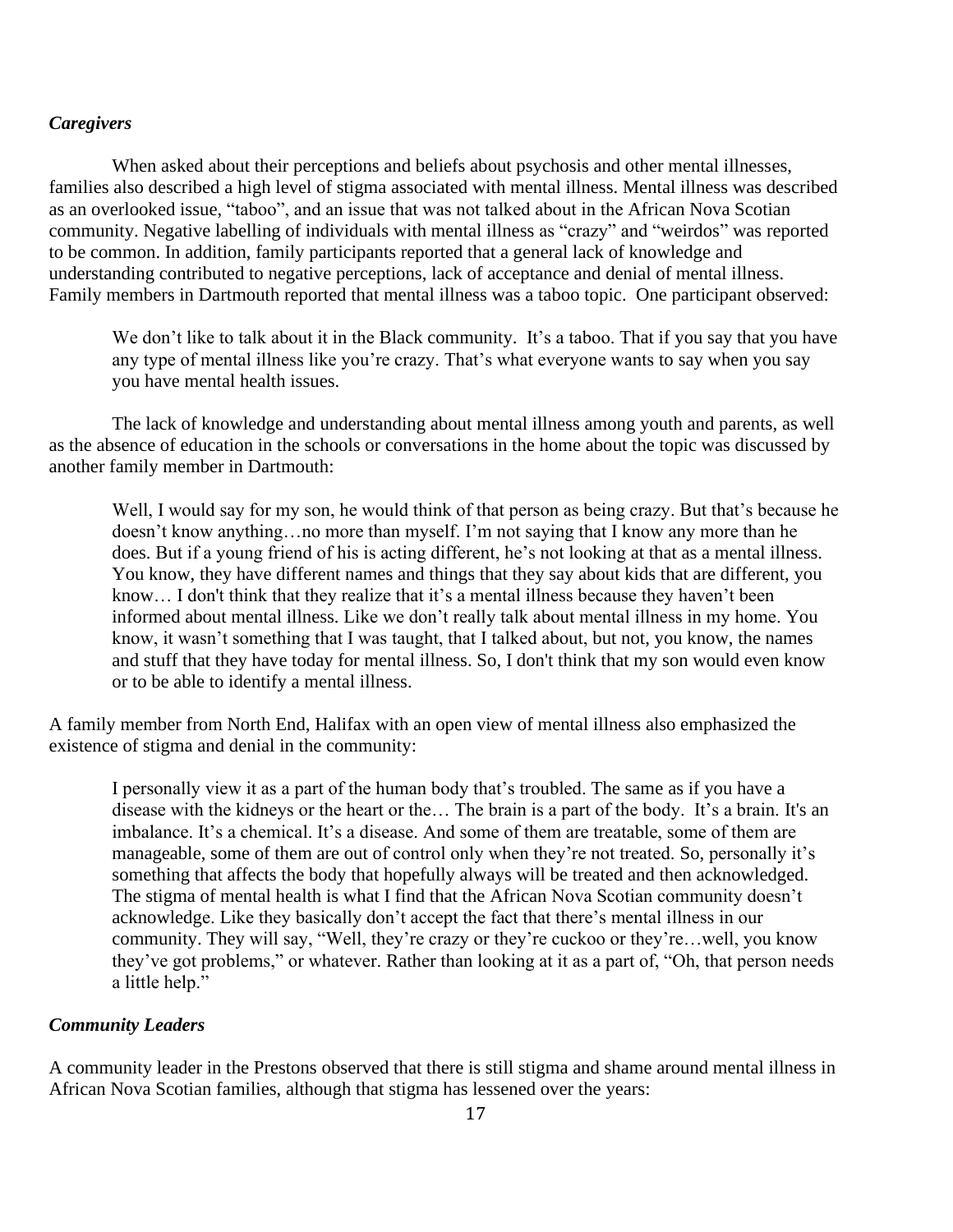### *Caregivers*

When asked about their perceptions and beliefs about psychosis and other mental illnesses, families also described a high level of stigma associated with mental illness. Mental illness was described as an overlooked issue, "taboo", and an issue that was not talked about in the African Nova Scotian community. Negative labelling of individuals with mental illness as "crazy" and "weirdos" was reported to be common. In addition, family participants reported that a general lack of knowledge and understanding contributed to negative perceptions, lack of acceptance and denial of mental illness. Family members in Dartmouth reported that mental illness was a taboo topic. One participant observed:

We don't like to talk about it in the Black community. It's a taboo. That if you say that you have any type of mental illness like you're crazy. That's what everyone wants to say when you say you have mental health issues.

The lack of knowledge and understanding about mental illness among youth and parents, as well as the absence of education in the schools or conversations in the home about the topic was discussed by another family member in Dartmouth:

Well, I would say for my son, he would think of that person as being crazy. But that's because he doesn't know anything…no more than myself. I'm not saying that I know any more than he does. But if a young friend of his is acting different, he's not looking at that as a mental illness. You know, they have different names and things that they say about kids that are different, you know… I don't think that they realize that it's a mental illness because they haven't been informed about mental illness. Like we don't really talk about mental illness in my home. You know, it wasn't something that I was taught, that I talked about, but not, you know, the names and stuff that they have today for mental illness. So, I don't think that my son would even know or to be able to identify a mental illness.

A family member from North End, Halifax with an open view of mental illness also emphasized the existence of stigma and denial in the community:

I personally view it as a part of the human body that's troubled. The same as if you have a disease with the kidneys or the heart or the… The brain is a part of the body. It's a brain. It's an imbalance. It's a chemical. It's a disease. And some of them are treatable, some of them are manageable, some of them are out of control only when they're not treated. So, personally it's something that affects the body that hopefully always will be treated and then acknowledged. The stigma of mental health is what I find that the African Nova Scotian community doesn't acknowledge. Like they basically don't accept the fact that there's mental illness in our community. They will say, "Well, they're crazy or they're cuckoo or they're…well, you know they've got problems," or whatever. Rather than looking at it as a part of, "Oh, that person needs a little help."

#### *Community Leaders*

A community leader in the Prestons observed that there is still stigma and shame around mental illness in African Nova Scotian families, although that stigma has lessened over the years: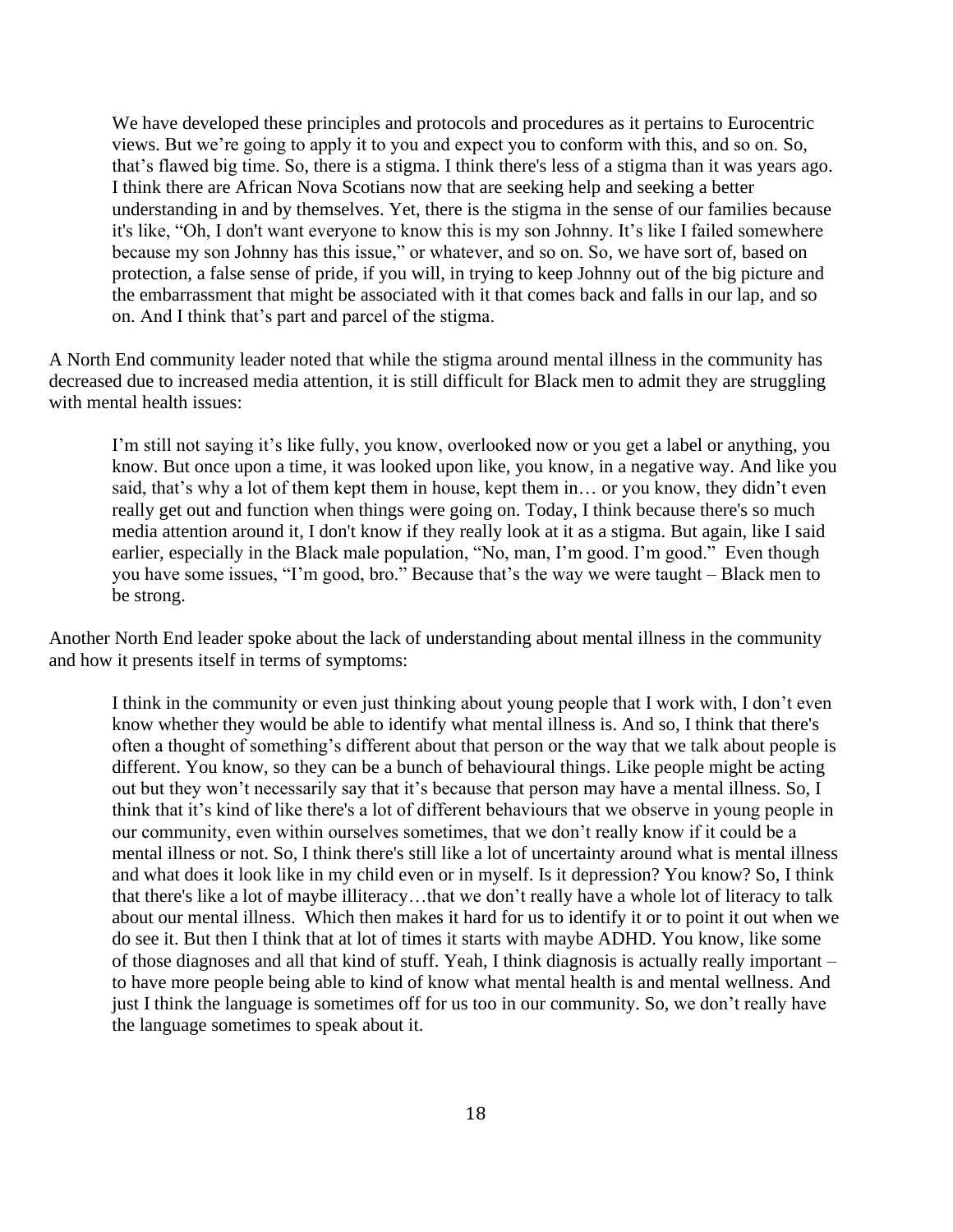We have developed these principles and protocols and procedures as it pertains to Eurocentric views. But we're going to apply it to you and expect you to conform with this, and so on. So, that's flawed big time. So, there is a stigma. I think there's less of a stigma than it was years ago. I think there are African Nova Scotians now that are seeking help and seeking a better understanding in and by themselves. Yet, there is the stigma in the sense of our families because it's like, "Oh, I don't want everyone to know this is my son Johnny. It's like I failed somewhere because my son Johnny has this issue," or whatever, and so on. So, we have sort of, based on protection, a false sense of pride, if you will, in trying to keep Johnny out of the big picture and the embarrassment that might be associated with it that comes back and falls in our lap, and so on. And I think that's part and parcel of the stigma.

A North End community leader noted that while the stigma around mental illness in the community has decreased due to increased media attention, it is still difficult for Black men to admit they are struggling with mental health issues:

I'm still not saying it's like fully, you know, overlooked now or you get a label or anything, you know. But once upon a time, it was looked upon like, you know, in a negative way. And like you said, that's why a lot of them kept them in house, kept them in… or you know, they didn't even really get out and function when things were going on. Today, I think because there's so much media attention around it, I don't know if they really look at it as a stigma. But again, like I said earlier, especially in the Black male population, "No, man, I'm good. I'm good." Even though you have some issues, "I'm good, bro." Because that's the way we were taught – Black men to be strong.

Another North End leader spoke about the lack of understanding about mental illness in the community and how it presents itself in terms of symptoms:

I think in the community or even just thinking about young people that I work with, I don't even know whether they would be able to identify what mental illness is. And so, I think that there's often a thought of something's different about that person or the way that we talk about people is different. You know, so they can be a bunch of behavioural things. Like people might be acting out but they won't necessarily say that it's because that person may have a mental illness. So, I think that it's kind of like there's a lot of different behaviours that we observe in young people in our community, even within ourselves sometimes, that we don't really know if it could be a mental illness or not. So, I think there's still like a lot of uncertainty around what is mental illness and what does it look like in my child even or in myself. Is it depression? You know? So, I think that there's like a lot of maybe illiteracy…that we don't really have a whole lot of literacy to talk about our mental illness. Which then makes it hard for us to identify it or to point it out when we do see it. But then I think that at lot of times it starts with maybe ADHD. You know, like some of those diagnoses and all that kind of stuff. Yeah, I think diagnosis is actually really important – to have more people being able to kind of know what mental health is and mental wellness. And just I think the language is sometimes off for us too in our community. So, we don't really have the language sometimes to speak about it.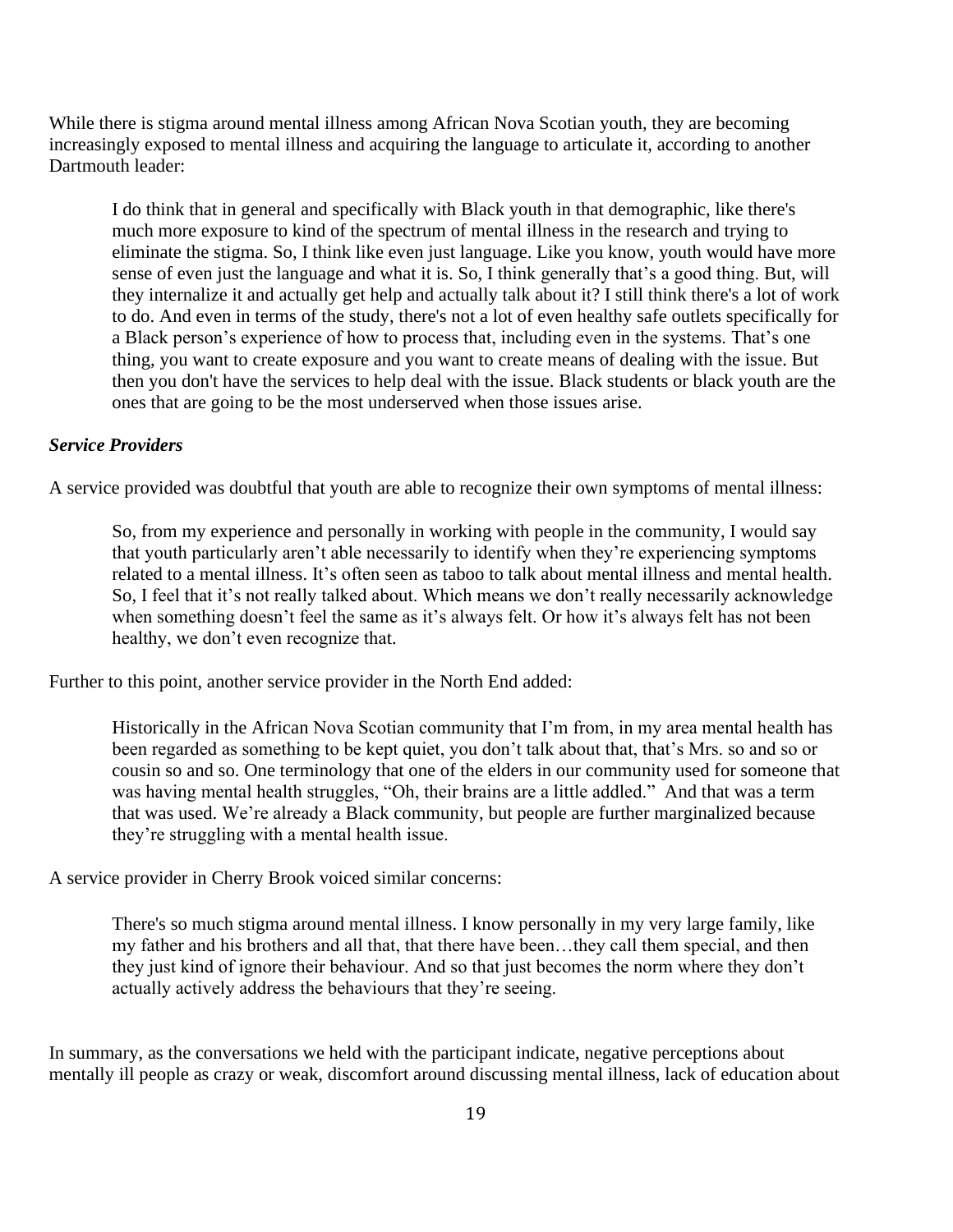While there is stigma around mental illness among African Nova Scotian youth, they are becoming increasingly exposed to mental illness and acquiring the language to articulate it, according to another Dartmouth leader:

I do think that in general and specifically with Black youth in that demographic, like there's much more exposure to kind of the spectrum of mental illness in the research and trying to eliminate the stigma. So, I think like even just language. Like you know, youth would have more sense of even just the language and what it is. So, I think generally that's a good thing. But, will they internalize it and actually get help and actually talk about it? I still think there's a lot of work to do. And even in terms of the study, there's not a lot of even healthy safe outlets specifically for a Black person's experience of how to process that, including even in the systems. That's one thing, you want to create exposure and you want to create means of dealing with the issue. But then you don't have the services to help deal with the issue. Black students or black youth are the ones that are going to be the most underserved when those issues arise.

### *Service Providers*

A service provided was doubtful that youth are able to recognize their own symptoms of mental illness:

So, from my experience and personally in working with people in the community, I would say that youth particularly aren't able necessarily to identify when they're experiencing symptoms related to a mental illness. It's often seen as taboo to talk about mental illness and mental health. So, I feel that it's not really talked about. Which means we don't really necessarily acknowledge when something doesn't feel the same as it's always felt. Or how it's always felt has not been healthy, we don't even recognize that.

Further to this point, another service provider in the North End added:

Historically in the African Nova Scotian community that I'm from, in my area mental health has been regarded as something to be kept quiet, you don't talk about that, that's Mrs. so and so or cousin so and so. One terminology that one of the elders in our community used for someone that was having mental health struggles, "Oh, their brains are a little addled." And that was a term that was used. We're already a Black community, but people are further marginalized because they're struggling with a mental health issue.

A service provider in Cherry Brook voiced similar concerns:

There's so much stigma around mental illness. I know personally in my very large family, like my father and his brothers and all that, that there have been…they call them special, and then they just kind of ignore their behaviour. And so that just becomes the norm where they don't actually actively address the behaviours that they're seeing.

In summary, as the conversations we held with the participant indicate, negative perceptions about mentally ill people as crazy or weak, discomfort around discussing mental illness, lack of education about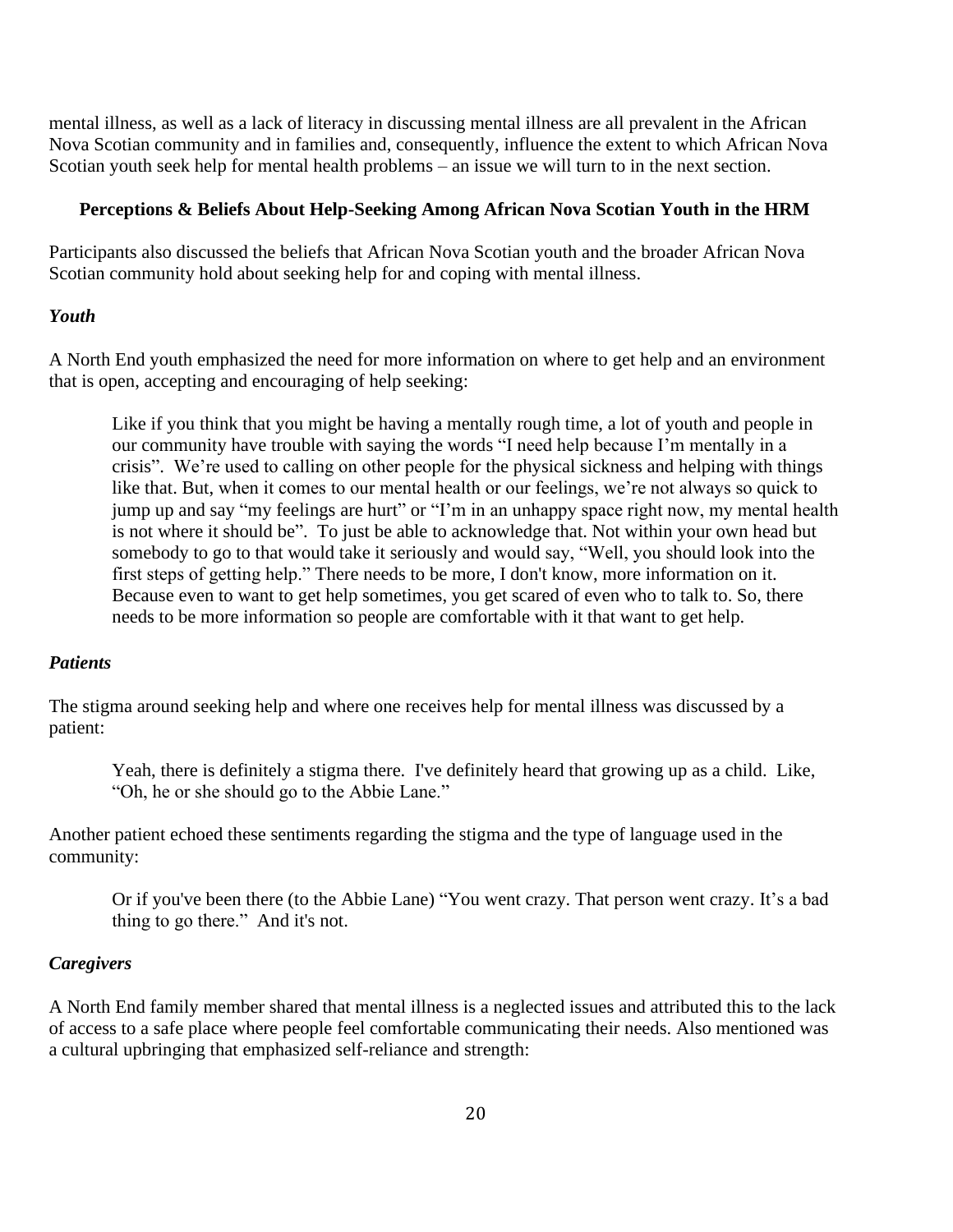mental illness, as well as a lack of literacy in discussing mental illness are all prevalent in the African Nova Scotian community and in families and, consequently, influence the extent to which African Nova Scotian youth seek help for mental health problems – an issue we will turn to in the next section.

#### **Perceptions & Beliefs About Help-Seeking Among African Nova Scotian Youth in the HRM**

Participants also discussed the beliefs that African Nova Scotian youth and the broader African Nova Scotian community hold about seeking help for and coping with mental illness.

#### *Youth*

A North End youth emphasized the need for more information on where to get help and an environment that is open, accepting and encouraging of help seeking:

Like if you think that you might be having a mentally rough time, a lot of youth and people in our community have trouble with saying the words "I need help because I'm mentally in a crisis". We're used to calling on other people for the physical sickness and helping with things like that. But, when it comes to our mental health or our feelings, we're not always so quick to jump up and say "my feelings are hurt" or "I'm in an unhappy space right now, my mental health is not where it should be". To just be able to acknowledge that. Not within your own head but somebody to go to that would take it seriously and would say, "Well, you should look into the first steps of getting help." There needs to be more, I don't know, more information on it. Because even to want to get help sometimes, you get scared of even who to talk to. So, there needs to be more information so people are comfortable with it that want to get help.

#### *Patients*

The stigma around seeking help and where one receives help for mental illness was discussed by a patient:

Yeah, there is definitely a stigma there. I've definitely heard that growing up as a child. Like, "Oh, he or she should go to the Abbie Lane."

Another patient echoed these sentiments regarding the stigma and the type of language used in the community:

Or if you've been there (to the Abbie Lane) "You went crazy. That person went crazy. It's a bad thing to go there." And it's not.

#### *Caregivers*

A North End family member shared that mental illness is a neglected issues and attributed this to the lack of access to a safe place where people feel comfortable communicating their needs. Also mentioned was a cultural upbringing that emphasized self-reliance and strength: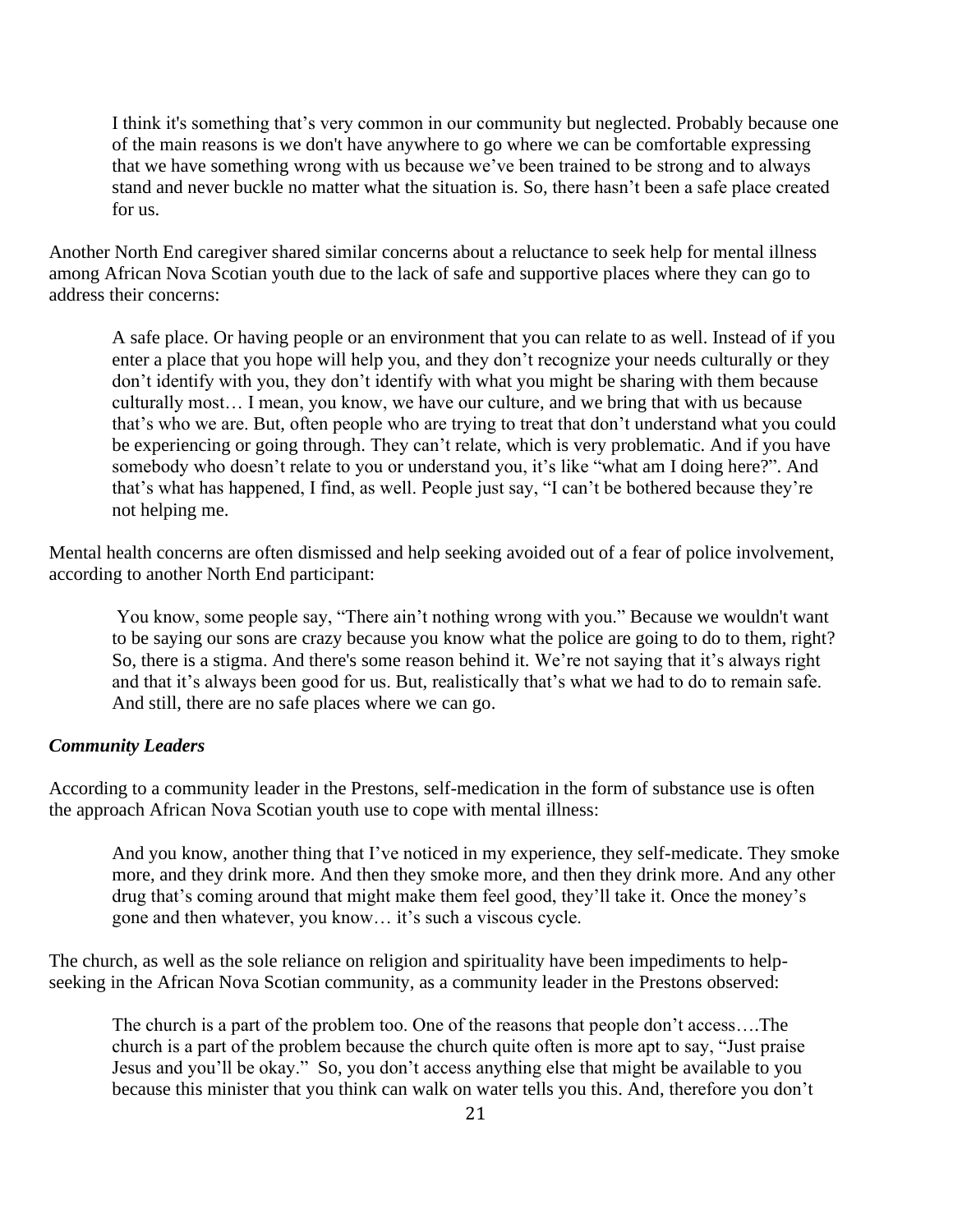I think it's something that's very common in our community but neglected. Probably because one of the main reasons is we don't have anywhere to go where we can be comfortable expressing that we have something wrong with us because we've been trained to be strong and to always stand and never buckle no matter what the situation is. So, there hasn't been a safe place created for us.

Another North End caregiver shared similar concerns about a reluctance to seek help for mental illness among African Nova Scotian youth due to the lack of safe and supportive places where they can go to address their concerns:

A safe place. Or having people or an environment that you can relate to as well. Instead of if you enter a place that you hope will help you, and they don't recognize your needs culturally or they don't identify with you, they don't identify with what you might be sharing with them because culturally most… I mean, you know, we have our culture, and we bring that with us because that's who we are. But, often people who are trying to treat that don't understand what you could be experiencing or going through. They can't relate, which is very problematic. And if you have somebody who doesn't relate to you or understand you, it's like "what am I doing here?". And that's what has happened, I find, as well. People just say, "I can't be bothered because they're not helping me.

Mental health concerns are often dismissed and help seeking avoided out of a fear of police involvement, according to another North End participant:

You know, some people say, "There ain't nothing wrong with you." Because we wouldn't want to be saying our sons are crazy because you know what the police are going to do to them, right? So, there is a stigma. And there's some reason behind it. We're not saying that it's always right and that it's always been good for us. But, realistically that's what we had to do to remain safe. And still, there are no safe places where we can go.

#### *Community Leaders*

According to a community leader in the Prestons, self-medication in the form of substance use is often the approach African Nova Scotian youth use to cope with mental illness:

And you know, another thing that I've noticed in my experience, they self-medicate. They smoke more, and they drink more. And then they smoke more, and then they drink more. And any other drug that's coming around that might make them feel good, they'll take it. Once the money's gone and then whatever, you know… it's such a viscous cycle.

The church, as well as the sole reliance on religion and spirituality have been impediments to helpseeking in the African Nova Scotian community, as a community leader in the Prestons observed:

The church is a part of the problem too. One of the reasons that people don't access….The church is a part of the problem because the church quite often is more apt to say, "Just praise Jesus and you'll be okay." So, you don't access anything else that might be available to you because this minister that you think can walk on water tells you this. And, therefore you don't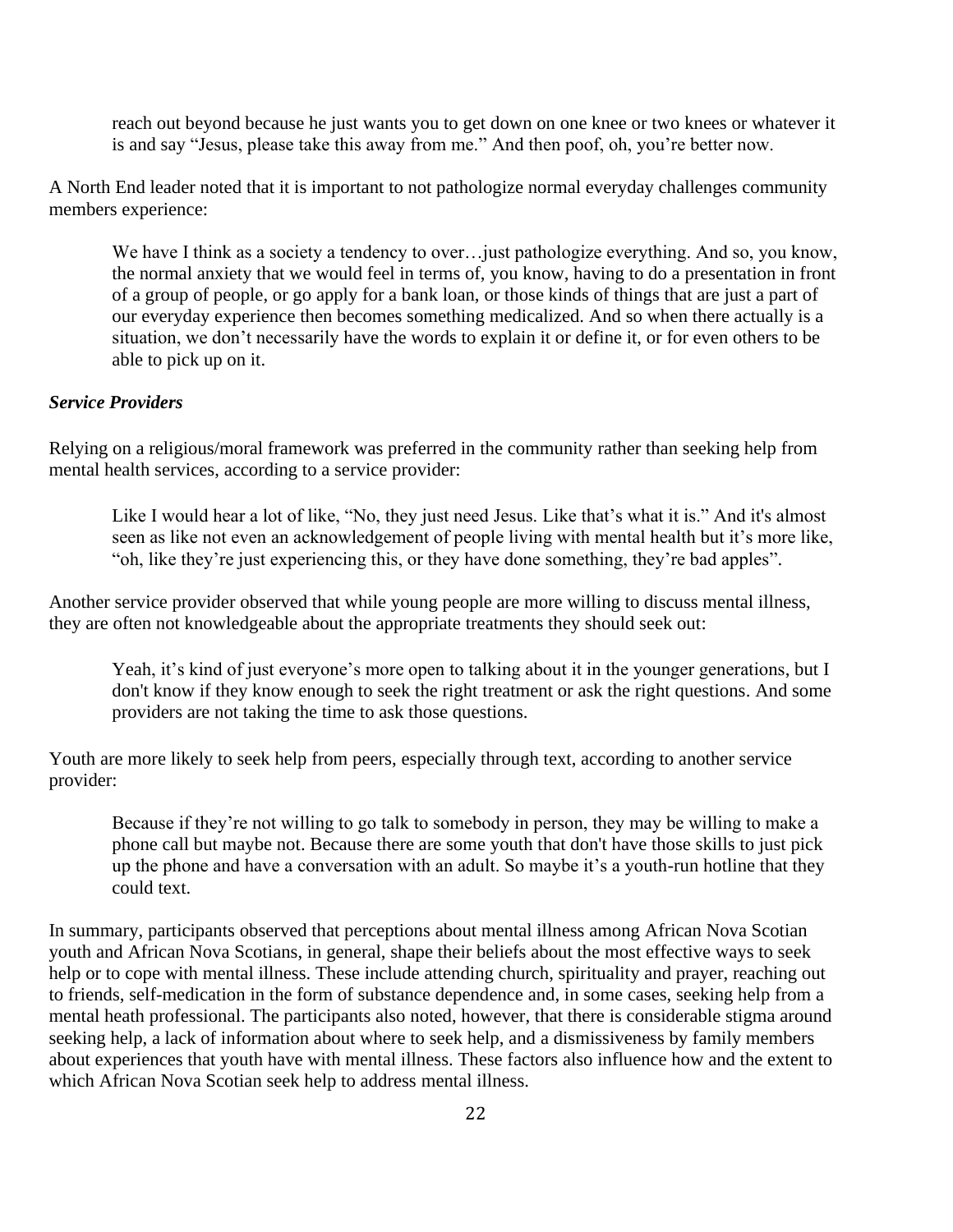reach out beyond because he just wants you to get down on one knee or two knees or whatever it is and say "Jesus, please take this away from me." And then poof, oh, you're better now.

A North End leader noted that it is important to not pathologize normal everyday challenges community members experience:

We have I think as a society a tendency to over... just pathologize everything. And so, you know, the normal anxiety that we would feel in terms of, you know, having to do a presentation in front of a group of people, or go apply for a bank loan, or those kinds of things that are just a part of our everyday experience then becomes something medicalized. And so when there actually is a situation, we don't necessarily have the words to explain it or define it, or for even others to be able to pick up on it.

### *Service Providers*

Relying on a religious/moral framework was preferred in the community rather than seeking help from mental health services, according to a service provider:

Like I would hear a lot of like, "No, they just need Jesus. Like that's what it is." And it's almost seen as like not even an acknowledgement of people living with mental health but it's more like, "oh, like they're just experiencing this, or they have done something, they're bad apples".

Another service provider observed that while young people are more willing to discuss mental illness, they are often not knowledgeable about the appropriate treatments they should seek out:

Yeah, it's kind of just everyone's more open to talking about it in the younger generations, but I don't know if they know enough to seek the right treatment or ask the right questions. And some providers are not taking the time to ask those questions.

Youth are more likely to seek help from peers, especially through text, according to another service provider:

Because if they're not willing to go talk to somebody in person, they may be willing to make a phone call but maybe not. Because there are some youth that don't have those skills to just pick up the phone and have a conversation with an adult. So maybe it's a youth-run hotline that they could text.

In summary, participants observed that perceptions about mental illness among African Nova Scotian youth and African Nova Scotians, in general, shape their beliefs about the most effective ways to seek help or to cope with mental illness. These include attending church, spirituality and prayer, reaching out to friends, self-medication in the form of substance dependence and, in some cases, seeking help from a mental heath professional. The participants also noted, however, that there is considerable stigma around seeking help, a lack of information about where to seek help, and a dismissiveness by family members about experiences that youth have with mental illness. These factors also influence how and the extent to which African Nova Scotian seek help to address mental illness.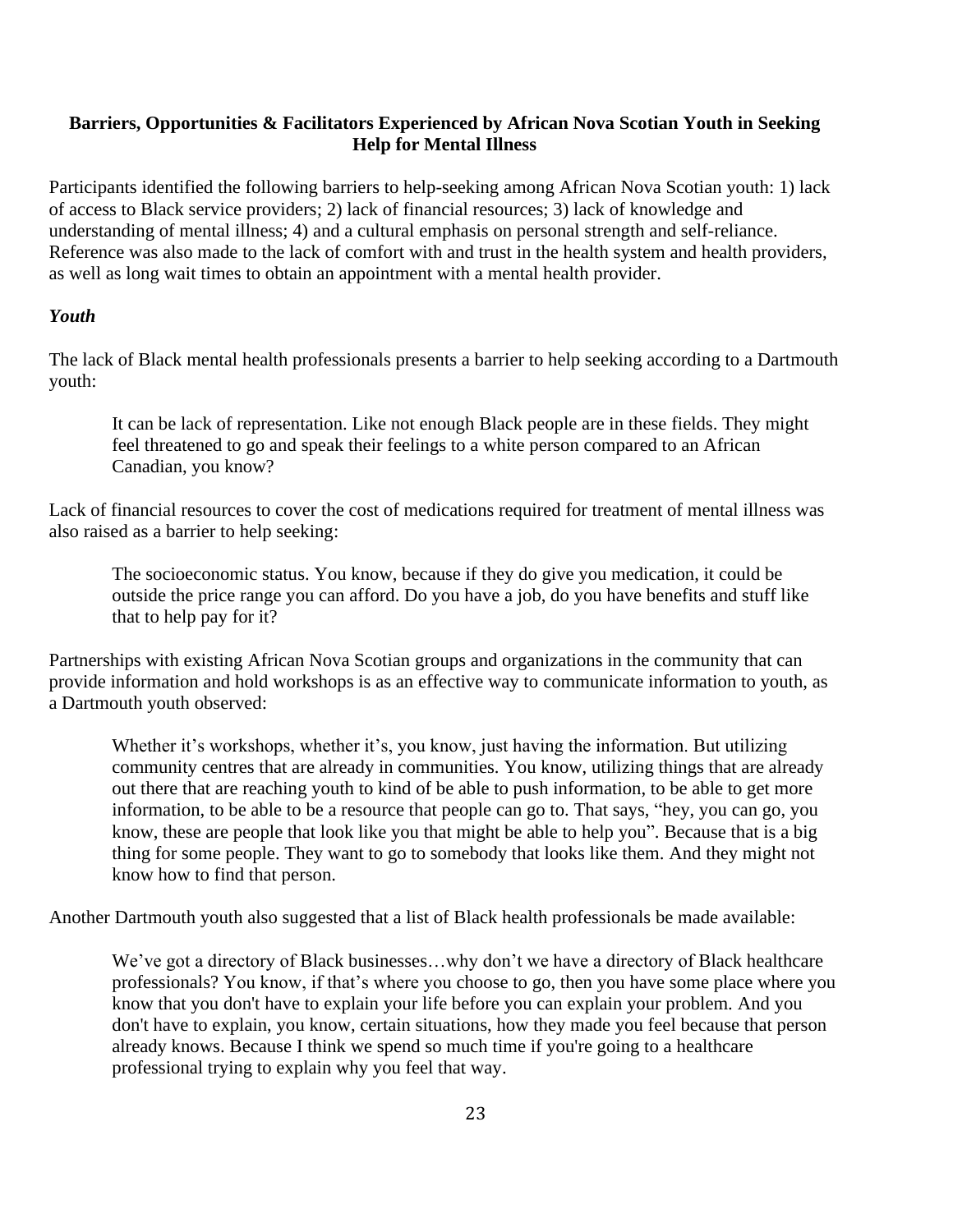### **Barriers, Opportunities & Facilitators Experienced by African Nova Scotian Youth in Seeking Help for Mental Illness**

Participants identified the following barriers to help-seeking among African Nova Scotian youth: 1) lack of access to Black service providers; 2) lack of financial resources; 3) lack of knowledge and understanding of mental illness; 4) and a cultural emphasis on personal strength and self-reliance. Reference was also made to the lack of comfort with and trust in the health system and health providers, as well as long wait times to obtain an appointment with a mental health provider.

### *Youth*

The lack of Black mental health professionals presents a barrier to help seeking according to a Dartmouth youth:

It can be lack of representation. Like not enough Black people are in these fields. They might feel threatened to go and speak their feelings to a white person compared to an African Canadian, you know?

Lack of financial resources to cover the cost of medications required for treatment of mental illness was also raised as a barrier to help seeking:

The socioeconomic status. You know, because if they do give you medication, it could be outside the price range you can afford. Do you have a job, do you have benefits and stuff like that to help pay for it?

Partnerships with existing African Nova Scotian groups and organizations in the community that can provide information and hold workshops is as an effective way to communicate information to youth, as a Dartmouth youth observed:

Whether it's workshops, whether it's, you know, just having the information. But utilizing community centres that are already in communities. You know, utilizing things that are already out there that are reaching youth to kind of be able to push information, to be able to get more information, to be able to be a resource that people can go to. That says, "hey, you can go, you know, these are people that look like you that might be able to help you". Because that is a big thing for some people. They want to go to somebody that looks like them. And they might not know how to find that person.

Another Dartmouth youth also suggested that a list of Black health professionals be made available:

We've got a directory of Black businesses…why don't we have a directory of Black healthcare professionals? You know, if that's where you choose to go, then you have some place where you know that you don't have to explain your life before you can explain your problem. And you don't have to explain, you know, certain situations, how they made you feel because that person already knows. Because I think we spend so much time if you're going to a healthcare professional trying to explain why you feel that way.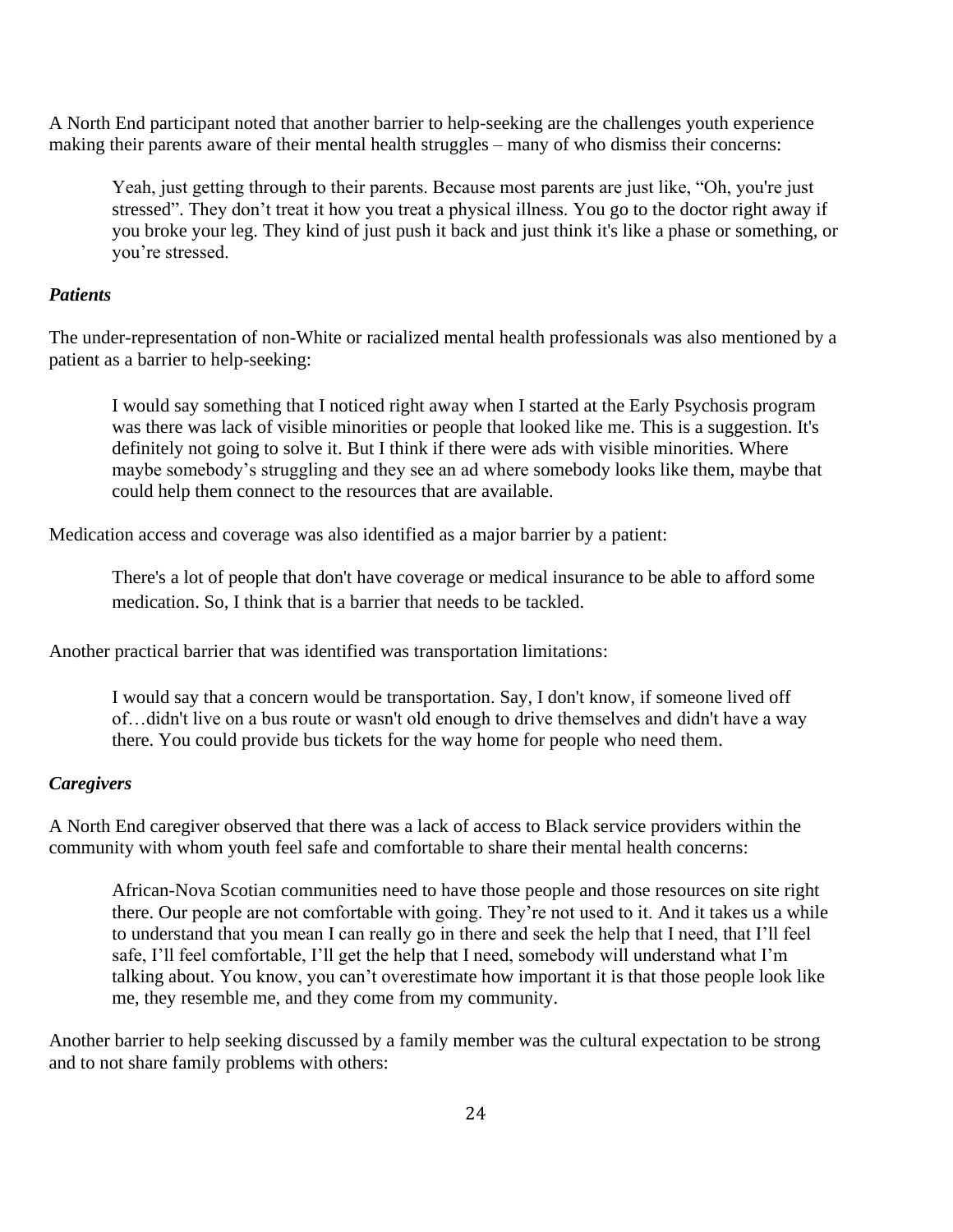A North End participant noted that another barrier to help-seeking are the challenges youth experience making their parents aware of their mental health struggles – many of who dismiss their concerns:

Yeah, just getting through to their parents. Because most parents are just like, "Oh, you're just stressed". They don't treat it how you treat a physical illness. You go to the doctor right away if you broke your leg. They kind of just push it back and just think it's like a phase or something, or you're stressed.

#### *Patients*

The under-representation of non-White or racialized mental health professionals was also mentioned by a patient as a barrier to help-seeking:

I would say something that I noticed right away when I started at the Early Psychosis program was there was lack of visible minorities or people that looked like me. This is a suggestion. It's definitely not going to solve it. But I think if there were ads with visible minorities. Where maybe somebody's struggling and they see an ad where somebody looks like them, maybe that could help them connect to the resources that are available.

Medication access and coverage was also identified as a major barrier by a patient:

There's a lot of people that don't have coverage or medical insurance to be able to afford some medication. So, I think that is a barrier that needs to be tackled.

Another practical barrier that was identified was transportation limitations:

I would say that a concern would be transportation. Say, I don't know, if someone lived off of…didn't live on a bus route or wasn't old enough to drive themselves and didn't have a way there. You could provide bus tickets for the way home for people who need them.

#### *Caregivers*

A North End caregiver observed that there was a lack of access to Black service providers within the community with whom youth feel safe and comfortable to share their mental health concerns:

African-Nova Scotian communities need to have those people and those resources on site right there. Our people are not comfortable with going. They're not used to it. And it takes us a while to understand that you mean I can really go in there and seek the help that I need, that I'll feel safe, I'll feel comfortable, I'll get the help that I need, somebody will understand what I'm talking about. You know, you can't overestimate how important it is that those people look like me, they resemble me, and they come from my community.

Another barrier to help seeking discussed by a family member was the cultural expectation to be strong and to not share family problems with others: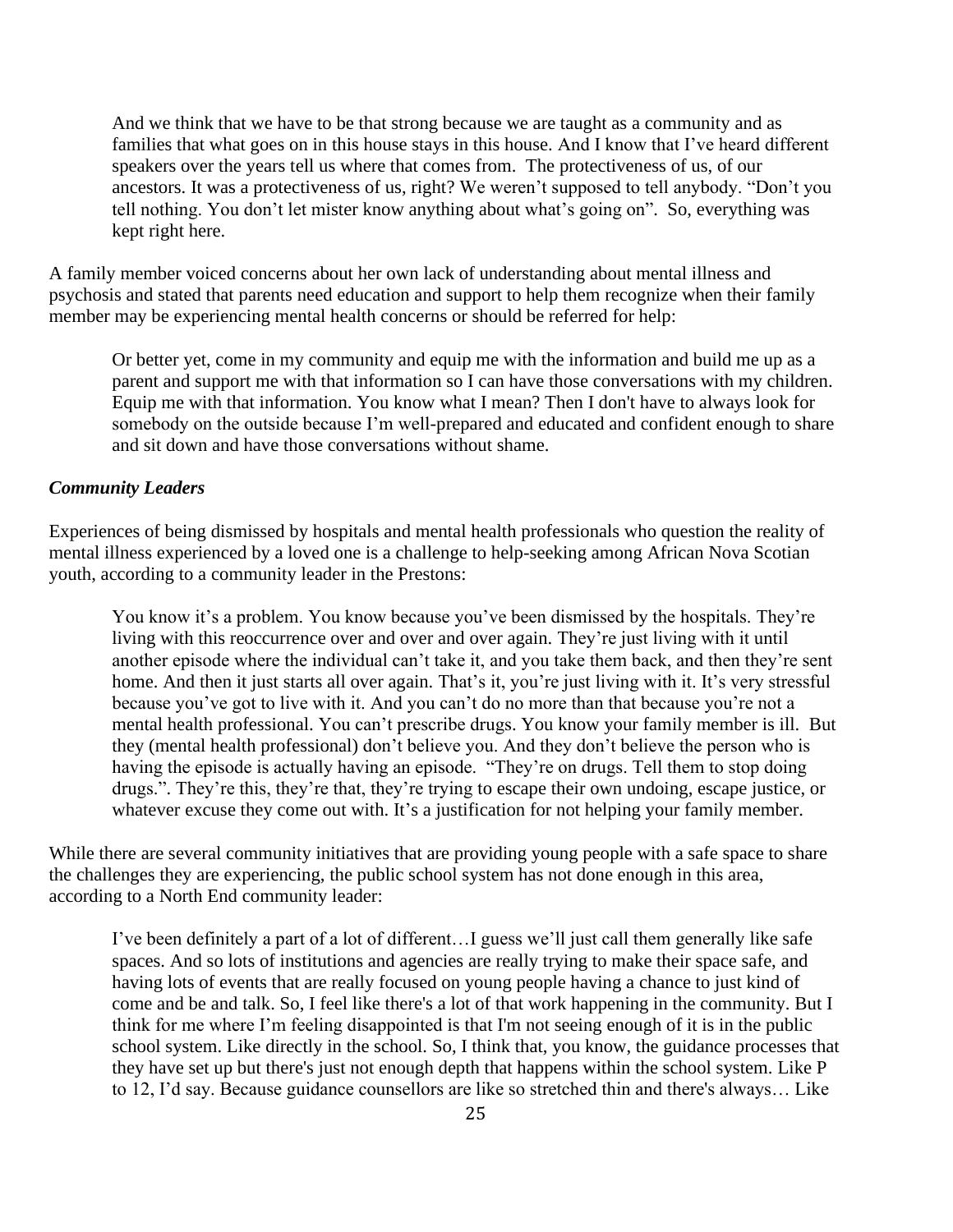And we think that we have to be that strong because we are taught as a community and as families that what goes on in this house stays in this house. And I know that I've heard different speakers over the years tell us where that comes from. The protectiveness of us, of our ancestors. It was a protectiveness of us, right? We weren't supposed to tell anybody. "Don't you tell nothing. You don't let mister know anything about what's going on". So, everything was kept right here.

A family member voiced concerns about her own lack of understanding about mental illness and psychosis and stated that parents need education and support to help them recognize when their family member may be experiencing mental health concerns or should be referred for help:

Or better yet, come in my community and equip me with the information and build me up as a parent and support me with that information so I can have those conversations with my children. Equip me with that information. You know what I mean? Then I don't have to always look for somebody on the outside because I'm well-prepared and educated and confident enough to share and sit down and have those conversations without shame.

#### *Community Leaders*

Experiences of being dismissed by hospitals and mental health professionals who question the reality of mental illness experienced by a loved one is a challenge to help-seeking among African Nova Scotian youth, according to a community leader in the Prestons:

You know it's a problem. You know because you've been dismissed by the hospitals. They're living with this reoccurrence over and over and over again. They're just living with it until another episode where the individual can't take it, and you take them back, and then they're sent home. And then it just starts all over again. That's it, you're just living with it. It's very stressful because you've got to live with it. And you can't do no more than that because you're not a mental health professional. You can't prescribe drugs. You know your family member is ill. But they (mental health professional) don't believe you. And they don't believe the person who is having the episode is actually having an episode. "They're on drugs. Tell them to stop doing drugs.". They're this, they're that, they're trying to escape their own undoing, escape justice, or whatever excuse they come out with. It's a justification for not helping your family member.

While there are several community initiatives that are providing young people with a safe space to share the challenges they are experiencing, the public school system has not done enough in this area, according to a North End community leader:

I've been definitely a part of a lot of different…I guess we'll just call them generally like safe spaces. And so lots of institutions and agencies are really trying to make their space safe, and having lots of events that are really focused on young people having a chance to just kind of come and be and talk. So, I feel like there's a lot of that work happening in the community. But I think for me where I'm feeling disappointed is that I'm not seeing enough of it is in the public school system. Like directly in the school. So, I think that, you know, the guidance processes that they have set up but there's just not enough depth that happens within the school system. Like P to 12, I'd say. Because guidance counsellors are like so stretched thin and there's always… Like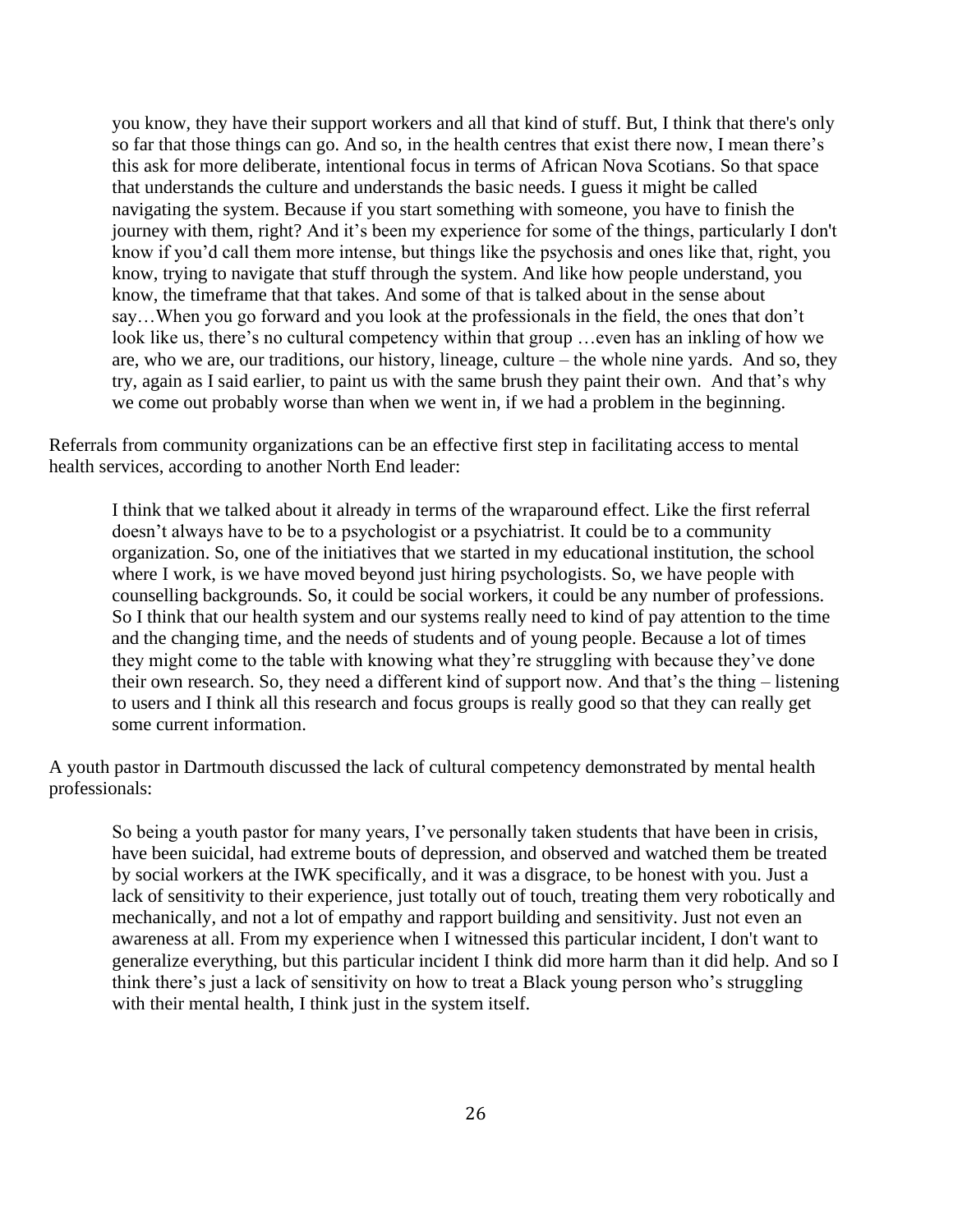you know, they have their support workers and all that kind of stuff. But, I think that there's only so far that those things can go. And so, in the health centres that exist there now, I mean there's this ask for more deliberate, intentional focus in terms of African Nova Scotians. So that space that understands the culture and understands the basic needs. I guess it might be called navigating the system. Because if you start something with someone, you have to finish the journey with them, right? And it's been my experience for some of the things, particularly I don't know if you'd call them more intense, but things like the psychosis and ones like that, right, you know, trying to navigate that stuff through the system. And like how people understand, you know, the timeframe that that takes. And some of that is talked about in the sense about say…When you go forward and you look at the professionals in the field, the ones that don't look like us, there's no cultural competency within that group ... even has an inkling of how we are, who we are, our traditions, our history, lineage, culture – the whole nine yards. And so, they try, again as I said earlier, to paint us with the same brush they paint their own. And that's why we come out probably worse than when we went in, if we had a problem in the beginning.

Referrals from community organizations can be an effective first step in facilitating access to mental health services, according to another North End leader:

I think that we talked about it already in terms of the wraparound effect. Like the first referral doesn't always have to be to a psychologist or a psychiatrist. It could be to a community organization. So, one of the initiatives that we started in my educational institution, the school where I work, is we have moved beyond just hiring psychologists. So, we have people with counselling backgrounds. So, it could be social workers, it could be any number of professions. So I think that our health system and our systems really need to kind of pay attention to the time and the changing time, and the needs of students and of young people. Because a lot of times they might come to the table with knowing what they're struggling with because they've done their own research. So, they need a different kind of support now. And that's the thing – listening to users and I think all this research and focus groups is really good so that they can really get some current information.

A youth pastor in Dartmouth discussed the lack of cultural competency demonstrated by mental health professionals:

So being a youth pastor for many years, I've personally taken students that have been in crisis, have been suicidal, had extreme bouts of depression, and observed and watched them be treated by social workers at the IWK specifically, and it was a disgrace, to be honest with you. Just a lack of sensitivity to their experience, just totally out of touch, treating them very robotically and mechanically, and not a lot of empathy and rapport building and sensitivity. Just not even an awareness at all. From my experience when I witnessed this particular incident, I don't want to generalize everything, but this particular incident I think did more harm than it did help. And so I think there's just a lack of sensitivity on how to treat a Black young person who's struggling with their mental health, I think just in the system itself.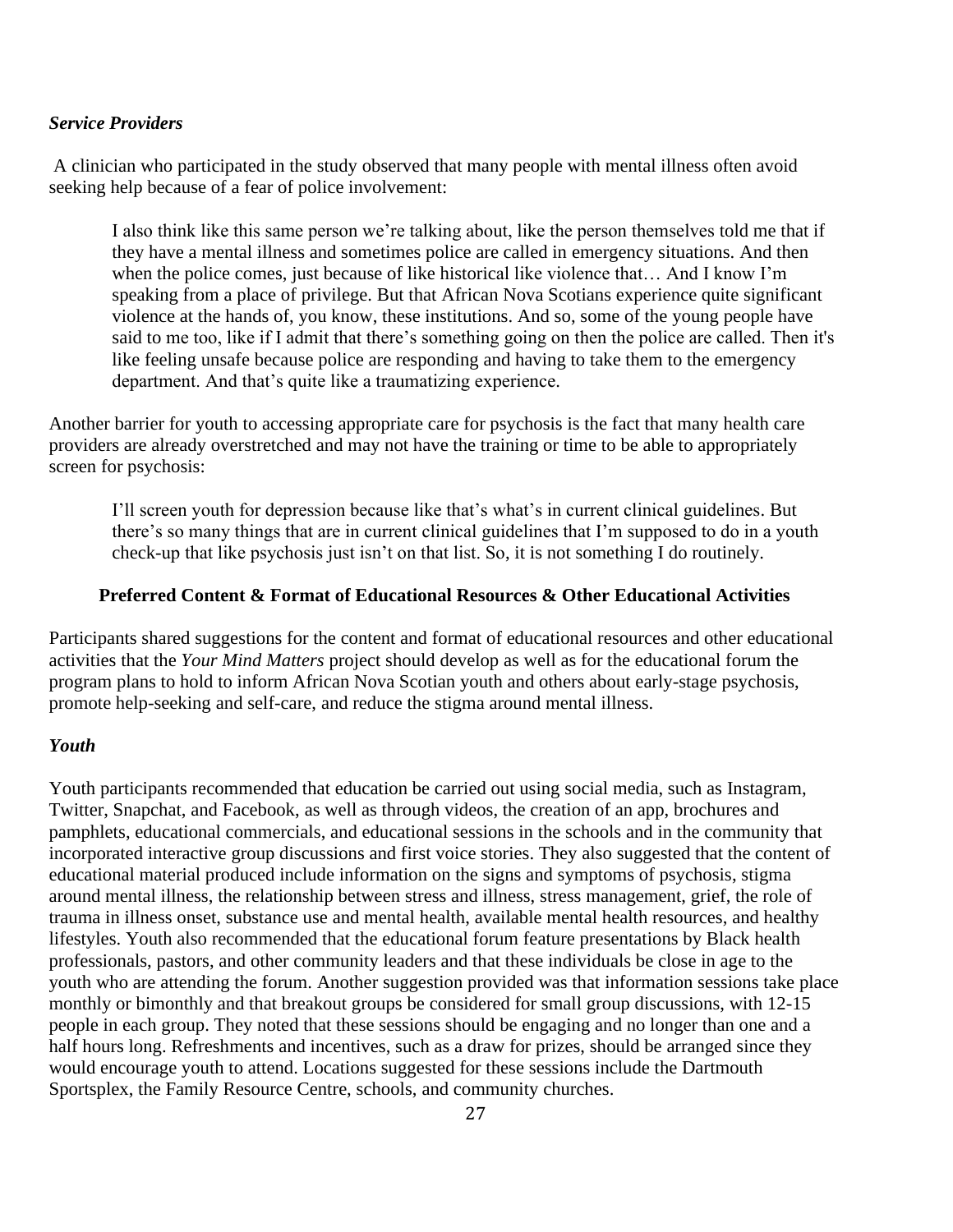#### *Service Providers*

A clinician who participated in the study observed that many people with mental illness often avoid seeking help because of a fear of police involvement:

I also think like this same person we're talking about, like the person themselves told me that if they have a mental illness and sometimes police are called in emergency situations. And then when the police comes, just because of like historical like violence that… And I know I'm speaking from a place of privilege. But that African Nova Scotians experience quite significant violence at the hands of, you know, these institutions. And so, some of the young people have said to me too, like if I admit that there's something going on then the police are called. Then it's like feeling unsafe because police are responding and having to take them to the emergency department. And that's quite like a traumatizing experience.

Another barrier for youth to accessing appropriate care for psychosis is the fact that many health care providers are already overstretched and may not have the training or time to be able to appropriately screen for psychosis:

I'll screen youth for depression because like that's what's in current clinical guidelines. But there's so many things that are in current clinical guidelines that I'm supposed to do in a youth check-up that like psychosis just isn't on that list. So, it is not something I do routinely.

#### **Preferred Content & Format of Educational Resources & Other Educational Activities**

Participants shared suggestions for the content and format of educational resources and other educational activities that the *Your Mind Matters* project should develop as well as for the educational forum the program plans to hold to inform African Nova Scotian youth and others about early-stage psychosis, promote help-seeking and self-care, and reduce the stigma around mental illness.

#### *Youth*

Youth participants recommended that education be carried out using social media, such as Instagram, Twitter, Snapchat, and Facebook, as well as through videos, the creation of an app, brochures and pamphlets, educational commercials, and educational sessions in the schools and in the community that incorporated interactive group discussions and first voice stories. They also suggested that the content of educational material produced include information on the signs and symptoms of psychosis, stigma around mental illness, the relationship between stress and illness, stress management, grief, the role of trauma in illness onset, substance use and mental health, available mental health resources, and healthy lifestyles. Youth also recommended that the educational forum feature presentations by Black health professionals, pastors, and other community leaders and that these individuals be close in age to the youth who are attending the forum. Another suggestion provided was that information sessions take place monthly or bimonthly and that breakout groups be considered for small group discussions, with 12-15 people in each group. They noted that these sessions should be engaging and no longer than one and a half hours long. Refreshments and incentives, such as a draw for prizes, should be arranged since they would encourage youth to attend. Locations suggested for these sessions include the Dartmouth Sportsplex, the Family Resource Centre, schools, and community churches.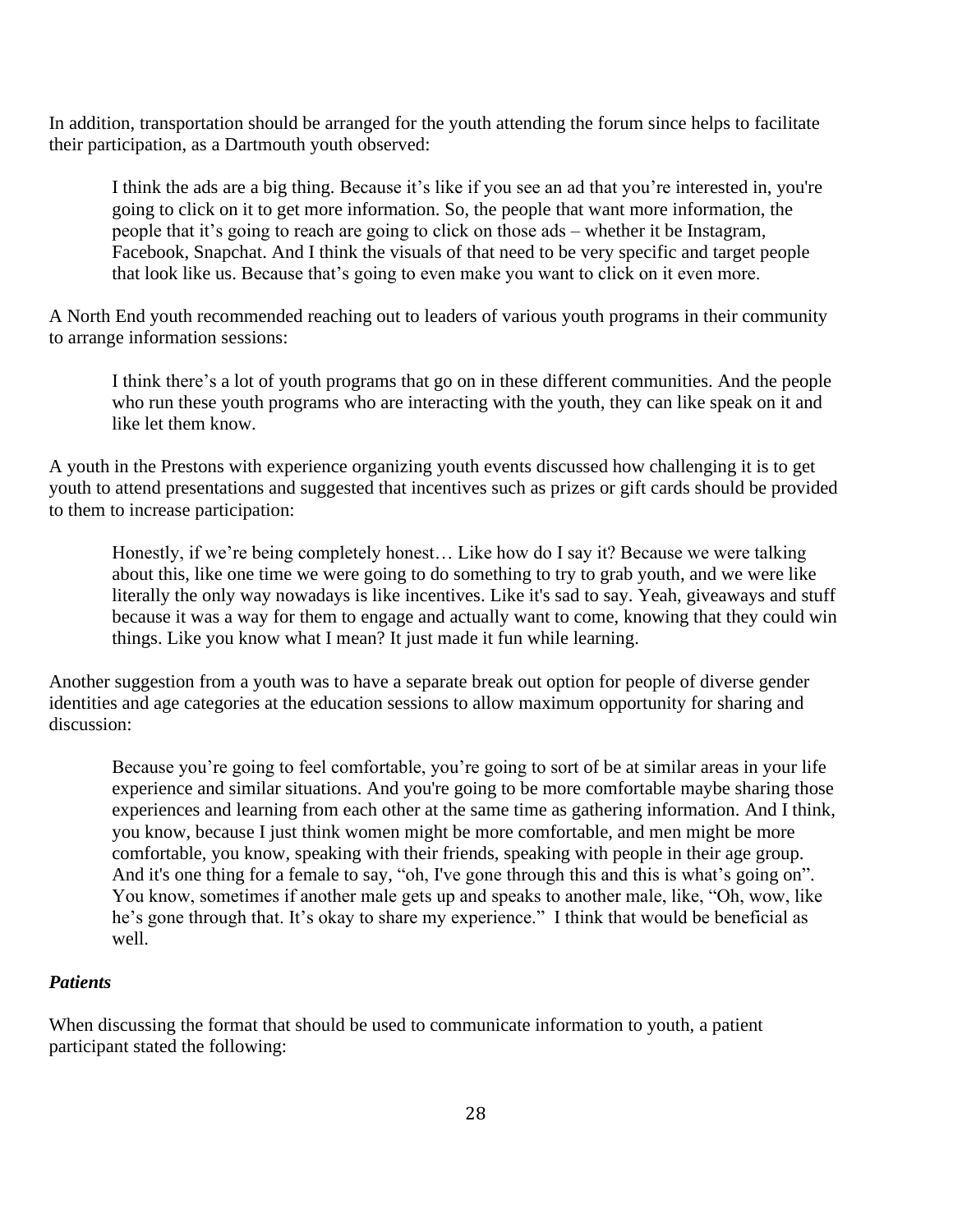In addition, transportation should be arranged for the youth attending the forum since helps to facilitate their participation, as a Dartmouth youth observed:

I think the ads are a big thing. Because it's like if you see an ad that you're interested in, you're going to click on it to get more information. So, the people that want more information, the people that it's going to reach are going to click on those ads – whether it be Instagram, Facebook, Snapchat. And I think the visuals of that need to be very specific and target people that look like us. Because that's going to even make you want to click on it even more.

A North End youth recommended reaching out to leaders of various youth programs in their community to arrange information sessions:

I think there's a lot of youth programs that go on in these different communities. And the people who run these youth programs who are interacting with the youth, they can like speak on it and like let them know.

A youth in the Prestons with experience organizing youth events discussed how challenging it is to get youth to attend presentations and suggested that incentives such as prizes or gift cards should be provided to them to increase participation:

Honestly, if we're being completely honest… Like how do I say it? Because we were talking about this, like one time we were going to do something to try to grab youth, and we were like literally the only way nowadays is like incentives. Like it's sad to say. Yeah, giveaways and stuff because it was a way for them to engage and actually want to come, knowing that they could win things. Like you know what I mean? It just made it fun while learning.

Another suggestion from a youth was to have a separate break out option for people of diverse gender identities and age categories at the education sessions to allow maximum opportunity for sharing and discussion:

Because you're going to feel comfortable, you're going to sort of be at similar areas in your life experience and similar situations. And you're going to be more comfortable maybe sharing those experiences and learning from each other at the same time as gathering information. And I think, you know, because I just think women might be more comfortable, and men might be more comfortable, you know, speaking with their friends, speaking with people in their age group. And it's one thing for a female to say, "oh, I've gone through this and this is what's going on". You know, sometimes if another male gets up and speaks to another male, like, "Oh, wow, like he's gone through that. It's okay to share my experience." I think that would be beneficial as well.

### *Patients*

When discussing the format that should be used to communicate information to youth, a patient participant stated the following: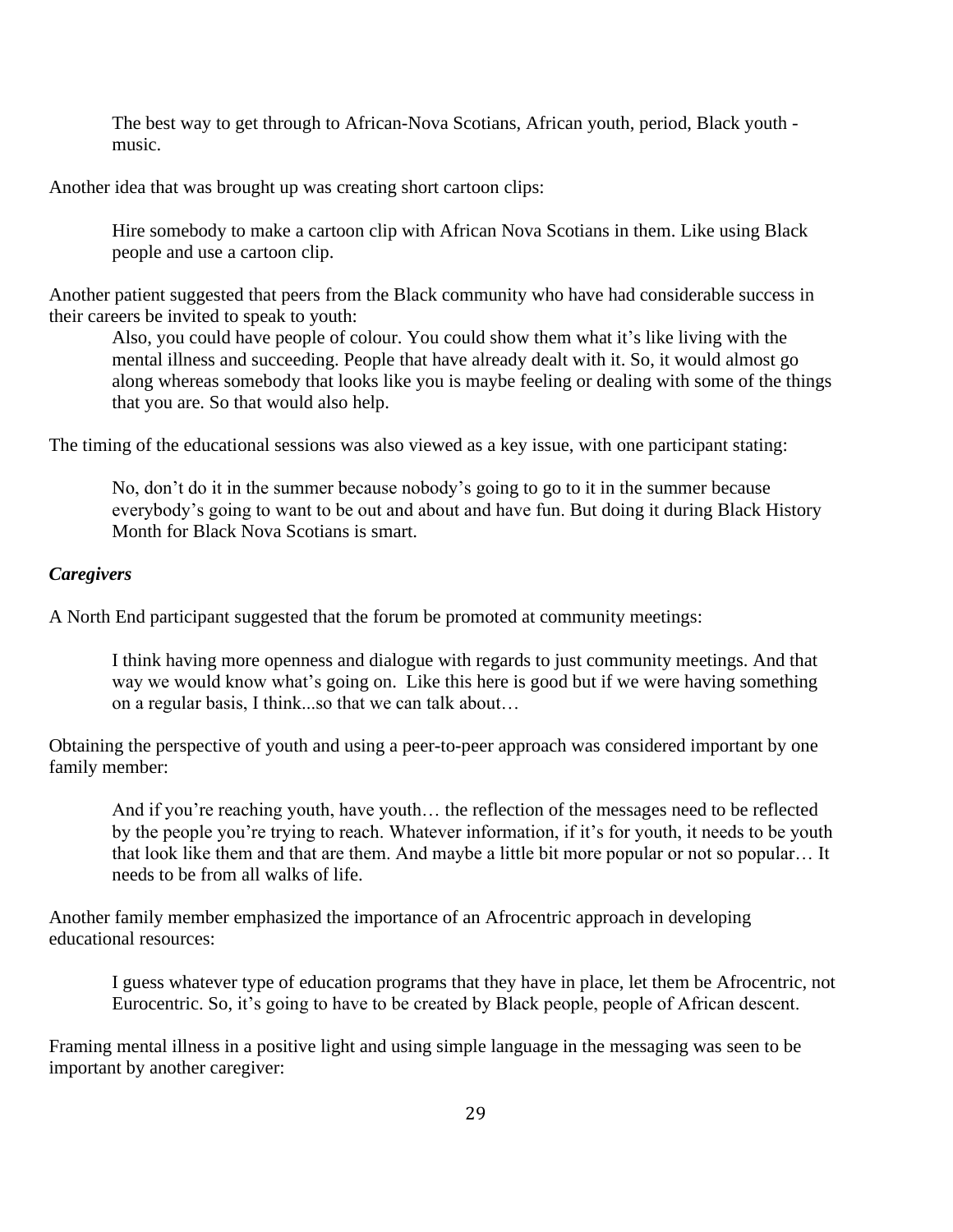The best way to get through to African-Nova Scotians, African youth, period, Black youth music.

Another idea that was brought up was creating short cartoon clips:

Hire somebody to make a cartoon clip with African Nova Scotians in them. Like using Black people and use a cartoon clip.

Another patient suggested that peers from the Black community who have had considerable success in their careers be invited to speak to youth:

Also, you could have people of colour. You could show them what it's like living with the mental illness and succeeding. People that have already dealt with it. So, it would almost go along whereas somebody that looks like you is maybe feeling or dealing with some of the things that you are. So that would also help.

The timing of the educational sessions was also viewed as a key issue, with one participant stating:

No, don't do it in the summer because nobody's going to go to it in the summer because everybody's going to want to be out and about and have fun. But doing it during Black History Month for Black Nova Scotians is smart.

#### *Caregivers*

A North End participant suggested that the forum be promoted at community meetings:

I think having more openness and dialogue with regards to just community meetings. And that way we would know what's going on. Like this here is good but if we were having something on a regular basis, I think...so that we can talk about…

Obtaining the perspective of youth and using a peer-to-peer approach was considered important by one family member:

And if you're reaching youth, have youth… the reflection of the messages need to be reflected by the people you're trying to reach. Whatever information, if it's for youth, it needs to be youth that look like them and that are them. And maybe a little bit more popular or not so popular… It needs to be from all walks of life.

Another family member emphasized the importance of an Afrocentric approach in developing educational resources:

I guess whatever type of education programs that they have in place, let them be Afrocentric, not Eurocentric. So, it's going to have to be created by Black people, people of African descent.

Framing mental illness in a positive light and using simple language in the messaging was seen to be important by another caregiver: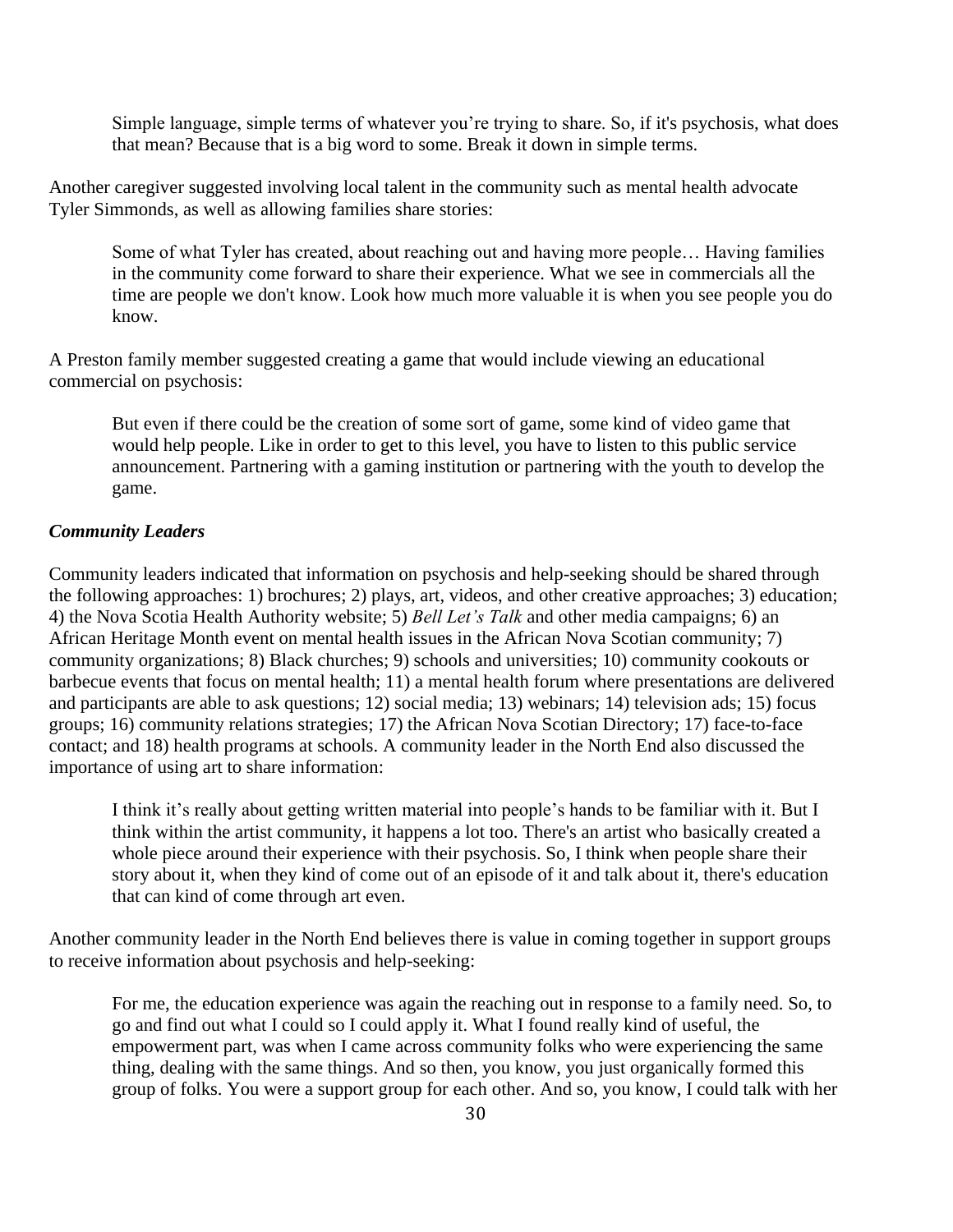Simple language, simple terms of whatever you're trying to share. So, if it's psychosis, what does that mean? Because that is a big word to some. Break it down in simple terms.

Another caregiver suggested involving local talent in the community such as mental health advocate Tyler Simmonds, as well as allowing families share stories:

Some of what Tyler has created, about reaching out and having more people… Having families in the community come forward to share their experience. What we see in commercials all the time are people we don't know. Look how much more valuable it is when you see people you do know.

A Preston family member suggested creating a game that would include viewing an educational commercial on psychosis:

But even if there could be the creation of some sort of game, some kind of video game that would help people. Like in order to get to this level, you have to listen to this public service announcement. Partnering with a gaming institution or partnering with the youth to develop the game.

#### *Community Leaders*

Community leaders indicated that information on psychosis and help-seeking should be shared through the following approaches: 1) brochures; 2) plays, art, videos, and other creative approaches; 3) education; 4) the Nova Scotia Health Authority website; 5) *Bell Let's Talk* and other media campaigns; 6) an African Heritage Month event on mental health issues in the African Nova Scotian community; 7) community organizations; 8) Black churches; 9) schools and universities; 10) community cookouts or barbecue events that focus on mental health; 11) a mental health forum where presentations are delivered and participants are able to ask questions; 12) social media; 13) webinars; 14) television ads; 15) focus groups; 16) community relations strategies; 17) the African Nova Scotian Directory; 17) face-to-face contact; and 18) health programs at schools. A community leader in the North End also discussed the importance of using art to share information:

I think it's really about getting written material into people's hands to be familiar with it. But I think within the artist community, it happens a lot too. There's an artist who basically created a whole piece around their experience with their psychosis. So, I think when people share their story about it, when they kind of come out of an episode of it and talk about it, there's education that can kind of come through art even.

Another community leader in the North End believes there is value in coming together in support groups to receive information about psychosis and help-seeking:

For me, the education experience was again the reaching out in response to a family need. So, to go and find out what I could so I could apply it. What I found really kind of useful, the empowerment part, was when I came across community folks who were experiencing the same thing, dealing with the same things. And so then, you know, you just organically formed this group of folks. You were a support group for each other. And so, you know, I could talk with her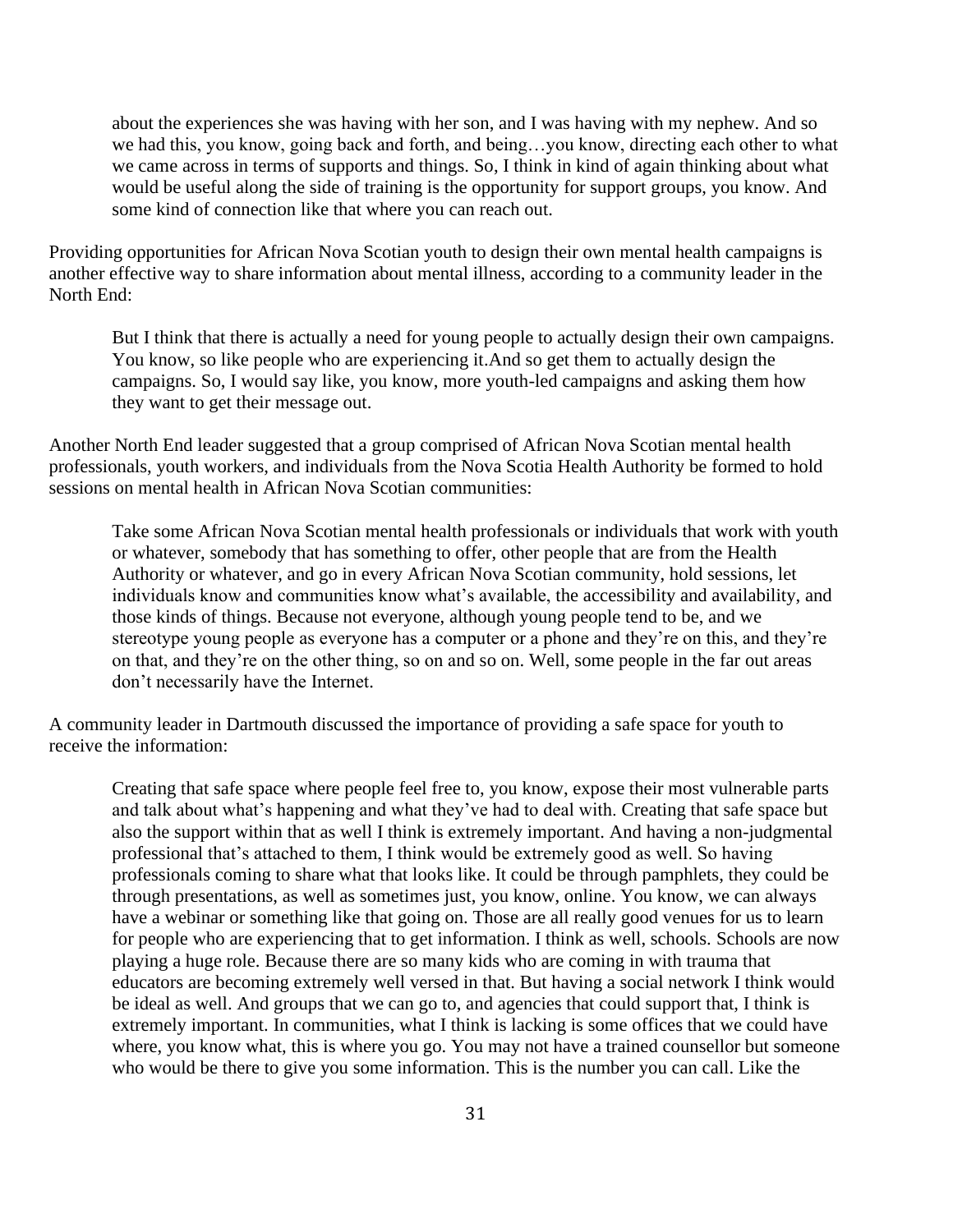about the experiences she was having with her son, and I was having with my nephew. And so we had this, you know, going back and forth, and being…you know, directing each other to what we came across in terms of supports and things. So, I think in kind of again thinking about what would be useful along the side of training is the opportunity for support groups, you know. And some kind of connection like that where you can reach out.

Providing opportunities for African Nova Scotian youth to design their own mental health campaigns is another effective way to share information about mental illness, according to a community leader in the North End:

But I think that there is actually a need for young people to actually design their own campaigns. You know, so like people who are experiencing it.And so get them to actually design the campaigns. So, I would say like, you know, more youth-led campaigns and asking them how they want to get their message out.

Another North End leader suggested that a group comprised of African Nova Scotian mental health professionals, youth workers, and individuals from the Nova Scotia Health Authority be formed to hold sessions on mental health in African Nova Scotian communities:

Take some African Nova Scotian mental health professionals or individuals that work with youth or whatever, somebody that has something to offer, other people that are from the Health Authority or whatever, and go in every African Nova Scotian community, hold sessions, let individuals know and communities know what's available, the accessibility and availability, and those kinds of things. Because not everyone, although young people tend to be, and we stereotype young people as everyone has a computer or a phone and they're on this, and they're on that, and they're on the other thing, so on and so on. Well, some people in the far out areas don't necessarily have the Internet.

A community leader in Dartmouth discussed the importance of providing a safe space for youth to receive the information:

Creating that safe space where people feel free to, you know, expose their most vulnerable parts and talk about what's happening and what they've had to deal with. Creating that safe space but also the support within that as well I think is extremely important. And having a non-judgmental professional that's attached to them, I think would be extremely good as well. So having professionals coming to share what that looks like. It could be through pamphlets, they could be through presentations, as well as sometimes just, you know, online. You know, we can always have a webinar or something like that going on. Those are all really good venues for us to learn for people who are experiencing that to get information. I think as well, schools. Schools are now playing a huge role. Because there are so many kids who are coming in with trauma that educators are becoming extremely well versed in that. But having a social network I think would be ideal as well. And groups that we can go to, and agencies that could support that, I think is extremely important. In communities, what I think is lacking is some offices that we could have where, you know what, this is where you go. You may not have a trained counsellor but someone who would be there to give you some information. This is the number you can call. Like the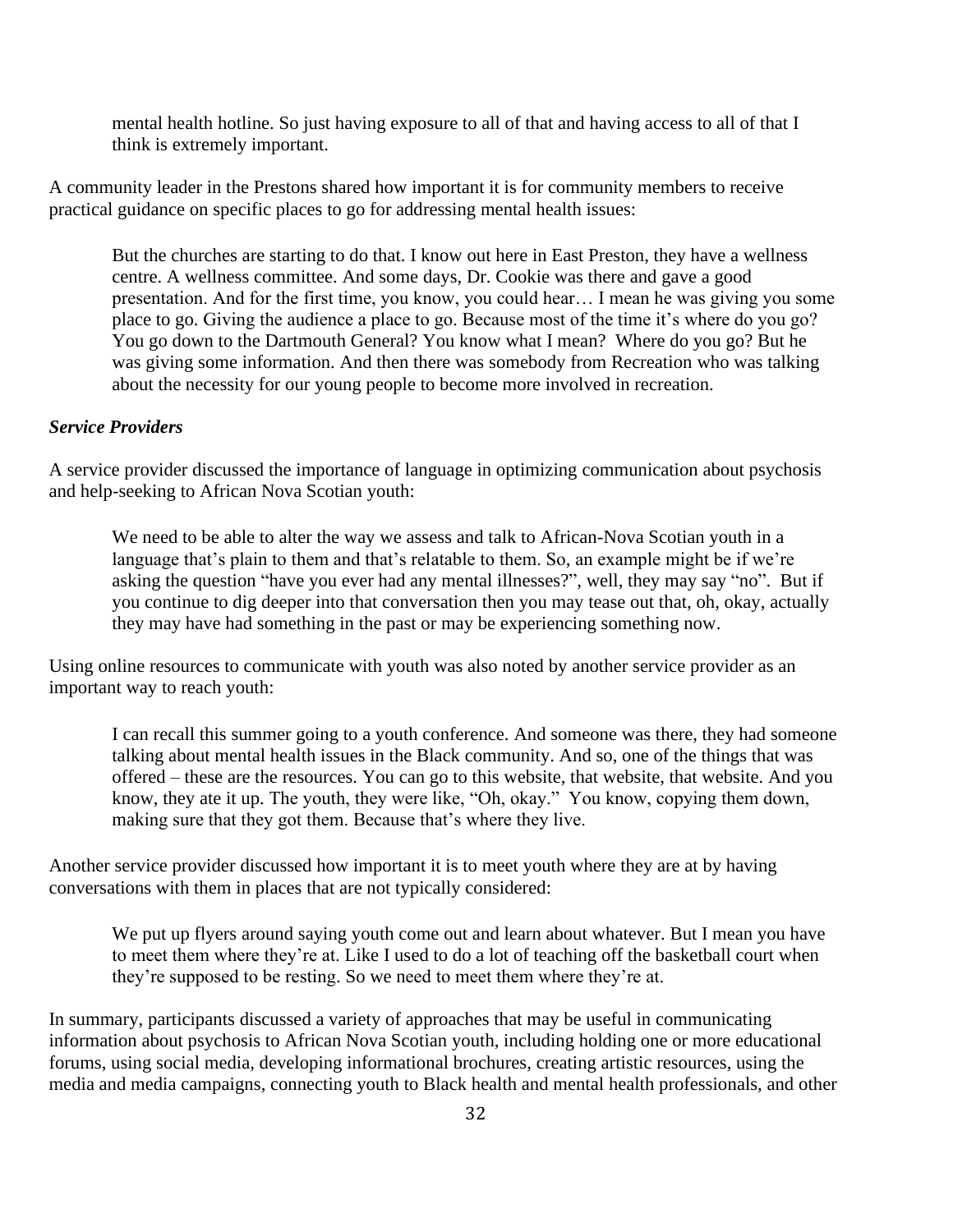mental health hotline. So just having exposure to all of that and having access to all of that I think is extremely important.

A community leader in the Prestons shared how important it is for community members to receive practical guidance on specific places to go for addressing mental health issues:

But the churches are starting to do that. I know out here in East Preston, they have a wellness centre. A wellness committee. And some days, Dr. Cookie was there and gave a good presentation. And for the first time, you know, you could hear… I mean he was giving you some place to go. Giving the audience a place to go. Because most of the time it's where do you go? You go down to the Dartmouth General? You know what I mean? Where do you go? But he was giving some information. And then there was somebody from Recreation who was talking about the necessity for our young people to become more involved in recreation.

#### *Service Providers*

A service provider discussed the importance of language in optimizing communication about psychosis and help-seeking to African Nova Scotian youth:

We need to be able to alter the way we assess and talk to African-Nova Scotian youth in a language that's plain to them and that's relatable to them. So, an example might be if we're asking the question "have you ever had any mental illnesses?", well, they may say "no". But if you continue to dig deeper into that conversation then you may tease out that, oh, okay, actually they may have had something in the past or may be experiencing something now.

Using online resources to communicate with youth was also noted by another service provider as an important way to reach youth:

I can recall this summer going to a youth conference. And someone was there, they had someone talking about mental health issues in the Black community. And so, one of the things that was offered – these are the resources. You can go to this website, that website, that website. And you know, they ate it up. The youth, they were like, "Oh, okay." You know, copying them down, making sure that they got them. Because that's where they live.

Another service provider discussed how important it is to meet youth where they are at by having conversations with them in places that are not typically considered:

We put up flyers around saying youth come out and learn about whatever. But I mean you have to meet them where they're at. Like I used to do a lot of teaching off the basketball court when they're supposed to be resting. So we need to meet them where they're at.

In summary, participants discussed a variety of approaches that may be useful in communicating information about psychosis to African Nova Scotian youth, including holding one or more educational forums, using social media, developing informational brochures, creating artistic resources, using the media and media campaigns, connecting youth to Black health and mental health professionals, and other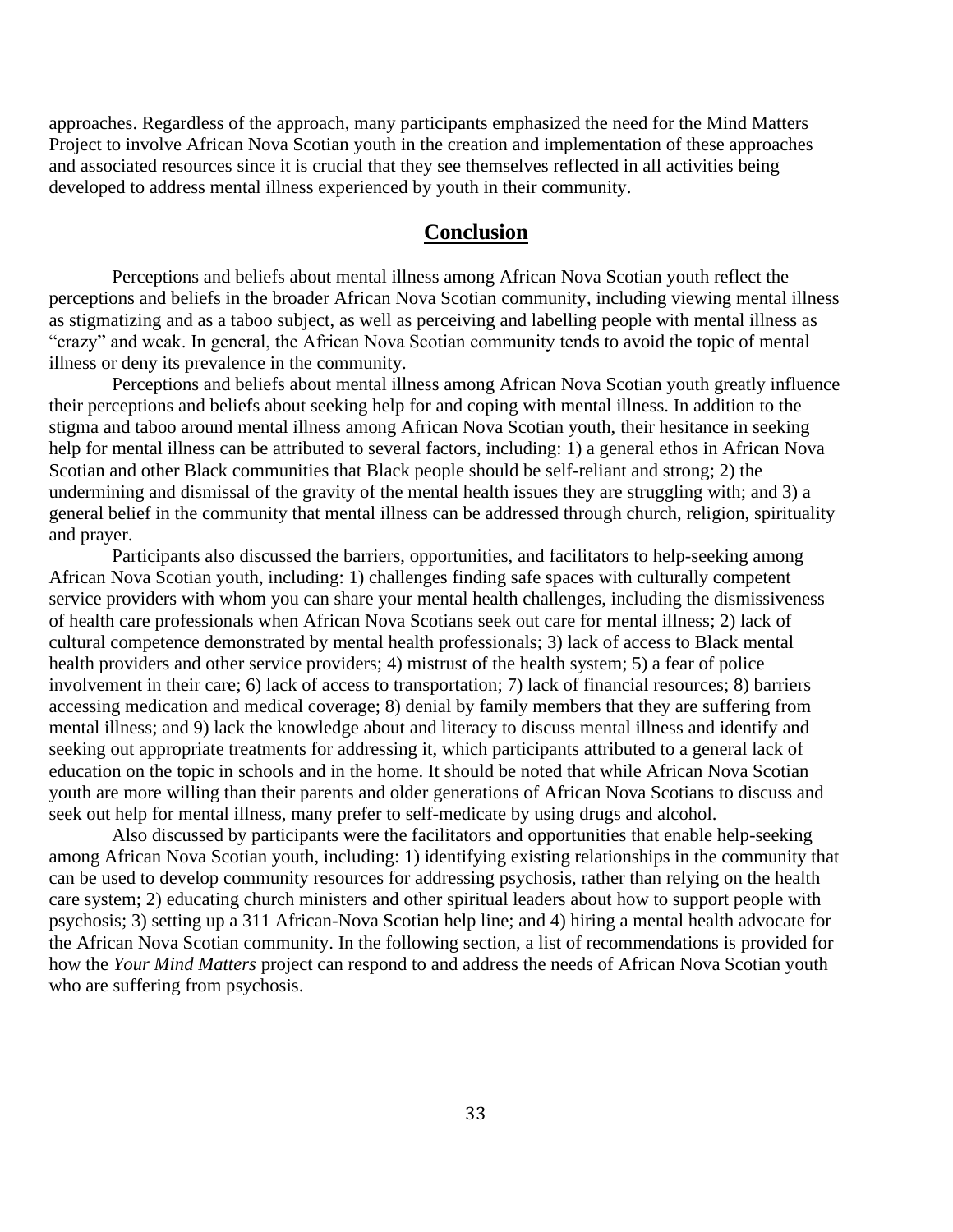approaches. Regardless of the approach, many participants emphasized the need for the Mind Matters Project to involve African Nova Scotian youth in the creation and implementation of these approaches and associated resources since it is crucial that they see themselves reflected in all activities being developed to address mental illness experienced by youth in their community.

### **Conclusion**

Perceptions and beliefs about mental illness among African Nova Scotian youth reflect the perceptions and beliefs in the broader African Nova Scotian community, including viewing mental illness as stigmatizing and as a taboo subject, as well as perceiving and labelling people with mental illness as "crazy" and weak. In general, the African Nova Scotian community tends to avoid the topic of mental illness or deny its prevalence in the community.

Perceptions and beliefs about mental illness among African Nova Scotian youth greatly influence their perceptions and beliefs about seeking help for and coping with mental illness. In addition to the stigma and taboo around mental illness among African Nova Scotian youth, their hesitance in seeking help for mental illness can be attributed to several factors, including: 1) a general ethos in African Nova Scotian and other Black communities that Black people should be self-reliant and strong; 2) the undermining and dismissal of the gravity of the mental health issues they are struggling with; and 3) a general belief in the community that mental illness can be addressed through church, religion, spirituality and prayer.

Participants also discussed the barriers, opportunities, and facilitators to help-seeking among African Nova Scotian youth, including: 1) challenges finding safe spaces with culturally competent service providers with whom you can share your mental health challenges, including the dismissiveness of health care professionals when African Nova Scotians seek out care for mental illness; 2) lack of cultural competence demonstrated by mental health professionals; 3) lack of access to Black mental health providers and other service providers; 4) mistrust of the health system; 5) a fear of police involvement in their care; 6) lack of access to transportation; 7) lack of financial resources; 8) barriers accessing medication and medical coverage; 8) denial by family members that they are suffering from mental illness; and 9) lack the knowledge about and literacy to discuss mental illness and identify and seeking out appropriate treatments for addressing it, which participants attributed to a general lack of education on the topic in schools and in the home. It should be noted that while African Nova Scotian youth are more willing than their parents and older generations of African Nova Scotians to discuss and seek out help for mental illness, many prefer to self-medicate by using drugs and alcohol.

Also discussed by participants were the facilitators and opportunities that enable help-seeking among African Nova Scotian youth, including: 1) identifying existing relationships in the community that can be used to develop community resources for addressing psychosis, rather than relying on the health care system; 2) educating church ministers and other spiritual leaders about how to support people with psychosis; 3) setting up a 311 African-Nova Scotian help line; and 4) hiring a mental health advocate for the African Nova Scotian community. In the following section, a list of recommendations is provided for how the *Your Mind Matters* project can respond to and address the needs of African Nova Scotian youth who are suffering from psychosis.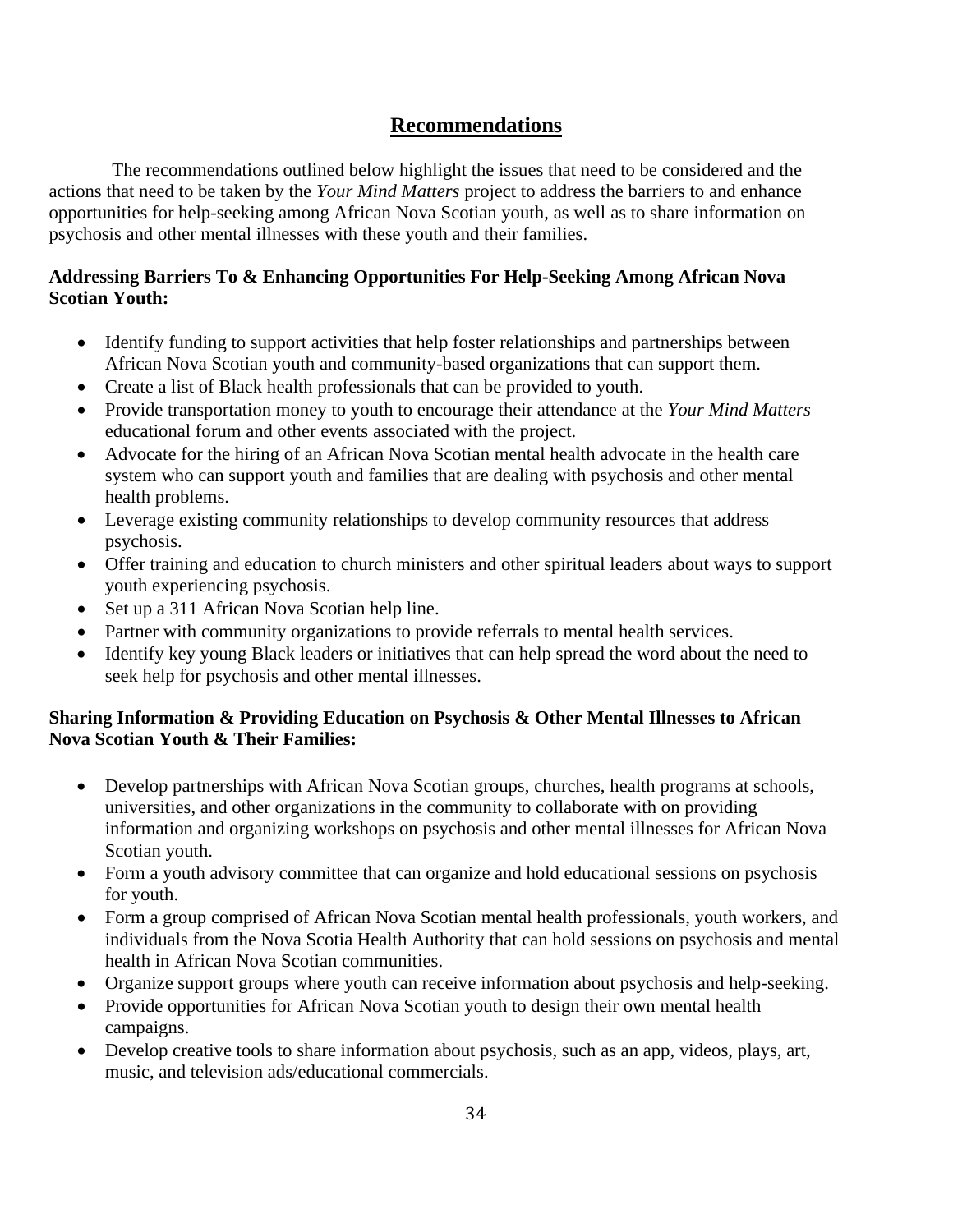## **Recommendations**

The recommendations outlined below highlight the issues that need to be considered and the actions that need to be taken by the *Your Mind Matters* project to address the barriers to and enhance opportunities for help-seeking among African Nova Scotian youth, as well as to share information on psychosis and other mental illnesses with these youth and their families.

## **Addressing Barriers To & Enhancing Opportunities For Help-Seeking Among African Nova Scotian Youth:**

- Identify funding to support activities that help foster relationships and partnerships between African Nova Scotian youth and community-based organizations that can support them.
- Create a list of Black health professionals that can be provided to youth.
- Provide transportation money to youth to encourage their attendance at the *Your Mind Matters* educational forum and other events associated with the project.
- Advocate for the hiring of an African Nova Scotian mental health advocate in the health care system who can support youth and families that are dealing with psychosis and other mental health problems.
- Leverage existing community relationships to develop community resources that address psychosis.
- Offer training and education to church ministers and other spiritual leaders about ways to support youth experiencing psychosis.
- Set up a 311 African Nova Scotian help line.
- Partner with community organizations to provide referrals to mental health services.
- Identify key young Black leaders or initiatives that can help spread the word about the need to seek help for psychosis and other mental illnesses.

### **Sharing Information & Providing Education on Psychosis & Other Mental Illnesses to African Nova Scotian Youth & Their Families:**

- Develop partnerships with African Nova Scotian groups, churches, health programs at schools, universities, and other organizations in the community to collaborate with on providing information and organizing workshops on psychosis and other mental illnesses for African Nova Scotian youth.
- Form a youth advisory committee that can organize and hold educational sessions on psychosis for youth.
- Form a group comprised of African Nova Scotian mental health professionals, youth workers, and individuals from the Nova Scotia Health Authority that can hold sessions on psychosis and mental health in African Nova Scotian communities.
- Organize support groups where youth can receive information about psychosis and help-seeking.
- Provide opportunities for African Nova Scotian youth to design their own mental health campaigns.
- Develop creative tools to share information about psychosis, such as an app, videos, plays, art, music, and television ads/educational commercials.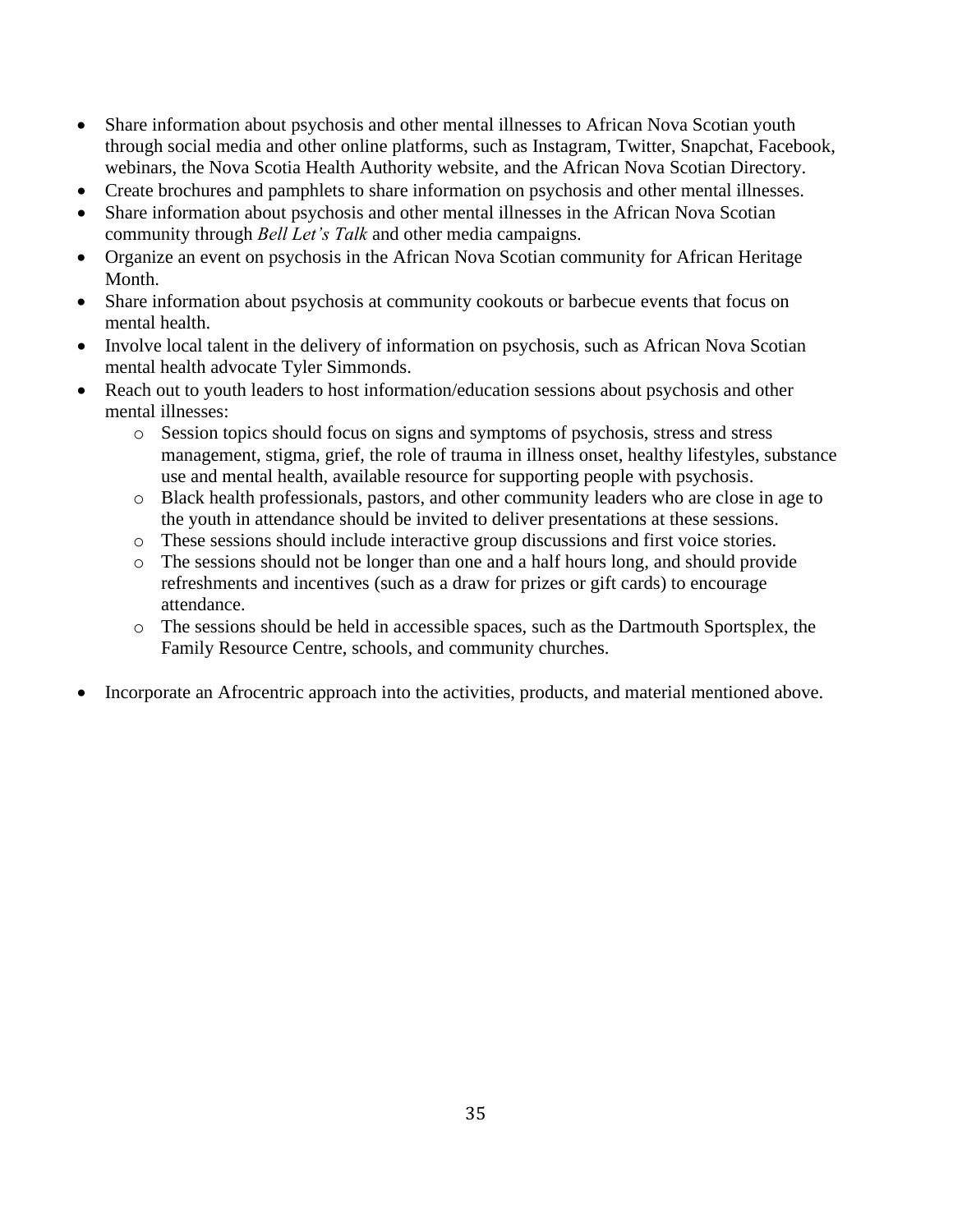- Share information about psychosis and other mental illnesses to African Nova Scotian youth through social media and other online platforms, such as Instagram, Twitter, Snapchat, Facebook, webinars, the Nova Scotia Health Authority website, and the African Nova Scotian Directory.
- Create brochures and pamphlets to share information on psychosis and other mental illnesses.
- Share information about psychosis and other mental illnesses in the African Nova Scotian community through *Bell Let's Talk* and other media campaigns.
- Organize an event on psychosis in the African Nova Scotian community for African Heritage Month.
- Share information about psychosis at community cookouts or barbecue events that focus on mental health.
- Involve local talent in the delivery of information on psychosis, such as African Nova Scotian mental health advocate Tyler Simmonds.
- Reach out to youth leaders to host information/education sessions about psychosis and other mental illnesses:
	- o Session topics should focus on signs and symptoms of psychosis, stress and stress management, stigma, grief, the role of trauma in illness onset, healthy lifestyles, substance use and mental health, available resource for supporting people with psychosis.
	- o Black health professionals, pastors, and other community leaders who are close in age to the youth in attendance should be invited to deliver presentations at these sessions.
	- o These sessions should include interactive group discussions and first voice stories.
	- o The sessions should not be longer than one and a half hours long, and should provide refreshments and incentives (such as a draw for prizes or gift cards) to encourage attendance.
	- o The sessions should be held in accessible spaces, such as the Dartmouth Sportsplex, the Family Resource Centre, schools, and community churches.
- Incorporate an Afrocentric approach into the activities, products, and material mentioned above.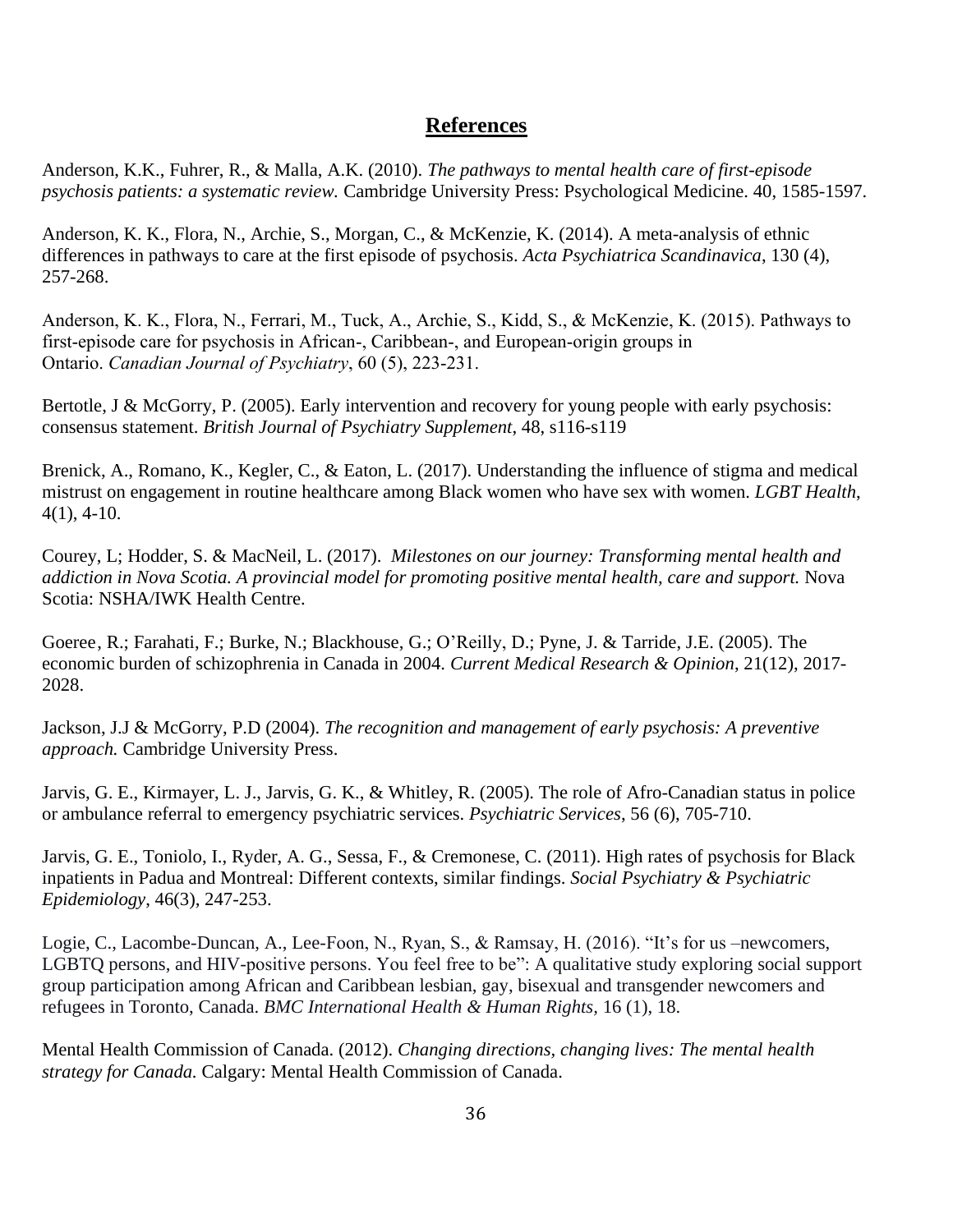## **References**

Anderson, K.K., Fuhrer, R., & Malla, A.K. (2010). *The pathways to mental health care of first-episode psychosis patients: a systematic review.* Cambridge University Press: Psychological Medicine. 40, 1585-1597.

Anderson, K. K., Flora, N., Archie, S., Morgan, C., & McKenzie, K. (2014). A meta-analysis of ethnic differences in pathways to care at the first episode of psychosis. *Acta Psychiatrica Scandinavica*, 130 (4), 257-268.

Anderson, K. K., Flora, N., Ferrari, M., Tuck, A., Archie, S., Kidd, S., & McKenzie, K. (2015). Pathways to first-episode care for psychosis in African-, Caribbean-, and European-origin groups in Ontario. *Canadian Journal of Psychiatry*, 60 (5), 223-231.

Bertotle, J & McGorry, P. (2005). Early intervention and recovery for young people with early psychosis: consensus statement. *British Journal of Psychiatry Supplement*, 48, s116-s119

Brenick, A., Romano, K., Kegler, C., & Eaton, L. (2017). Understanding the influence of stigma and medical mistrust on engagement in routine healthcare among Black women who have sex with women. *LGBT Health*, 4(1), 4-10.

Courey, L; Hodder, S. & MacNeil, L. (2017). *Milestones on our journey: Transforming mental health and addiction in Nova Scotia. A provincial model for promoting positive mental health, care and support.* Nova Scotia: NSHA/IWK Health Centre.

Goeree, R.; Farahati, F.; Burke, N.; Blackhouse, G.; O'Reilly, D.; Pyne, J. & Tarride, J.E. (2005). The economic burden of schizophrenia in Canada in 2004. *[Current Medical Research](http://www.informapharmascience.com/loi/cmo) & Opinion*, 21(12), 2017- 2028.

Jackson, J.J & McGorry, P.D (2004). *The recognition and management of early psychosis: A preventive approach.* Cambridge University Press.

Jarvis, G. E., Kirmayer, L. J., Jarvis, G. K., & Whitley, R. (2005). The role of Afro-Canadian status in police or ambulance referral to emergency psychiatric services. *Psychiatric Services*, 56 (6), 705-710.

Jarvis, G. E., Toniolo, I., Ryder, A. G., Sessa, F., & Cremonese, C. (2011). High rates of psychosis for Black inpatients in Padua and Montreal: Different contexts, similar findings. *Social Psychiatry & Psychiatric Epidemiology*, 46(3), 247-253.

Logie, C., Lacombe-Duncan, A., Lee-Foon, N., Ryan, S., & Ramsay, H. (2016). "It's for us –newcomers, LGBTQ persons, and HIV-positive persons. You feel free to be": A qualitative study exploring social support group participation among African and Caribbean lesbian, gay, bisexual and transgender newcomers and refugees in Toronto, Canada. *BMC International Health & Human Rights,* 16 (1), 18.

Mental Health Commission of Canada. (2012). *Changing directions, changing lives: The mental health strategy for Canada.* Calgary: Mental Health Commission of Canada.